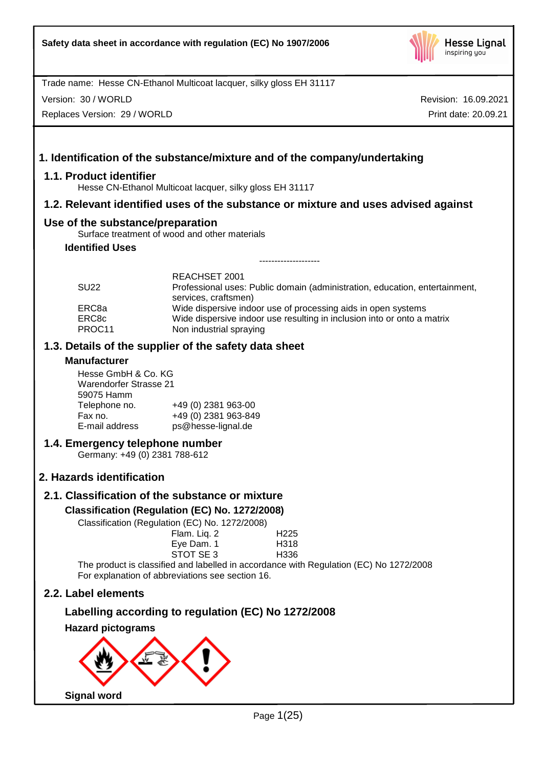

Version: 30 / WORLD

Replaces Version: 29 / WORLD

Revision: 16.09.2021 Print date: 20.09.21

# **1. Identification of the substance/mixture and of the company/undertaking**

## **1.1. Product identifier**

Hesse CN-Ethanol Multicoat lacquer, silky gloss EH 31117

## **1.2. Relevant identified uses of the substance or mixture and uses advised against**

## **Use of the substance/preparation**

Surface treatment of wood and other materials

## **Identified Uses**

| <b>SU22</b>     | REACHSET 2001<br>Professional uses: Public domain (administration, education, entertainment,       |
|-----------------|----------------------------------------------------------------------------------------------------|
| ERC8a           | services, craftsmen)<br>Wide dispersive indoor use of processing aids in open systems              |
| ERC8c<br>PROC11 | Wide dispersive indoor use resulting in inclusion into or onto a matrix<br>Non industrial spraying |

--------------------

## **1.3. Details of the supplier of the safety data sheet**

## **Manufacturer**

Hesse GmbH & Co. KG Warendorfer Strasse 21 59075 Hamm Telephone no. +49 (0) 2381 963-00<br>Fax no. +49 (0) 2381 963-84 Fax no. +49 (0) 2381 963-849 ps@hesse-lignal.de

## **1.4. Emergency telephone number**

Germany: +49 (0) 2381 788-612

## **2. Hazards identification**

# **2.1. Classification of the substance or mixture**

## **Classification (Regulation (EC) No. 1272/2008)**

Classification (Regulation (EC) No. 1272/2008)

| $\frac{1}{2}$                                                                                                                                                                                                                  |                  |
|--------------------------------------------------------------------------------------------------------------------------------------------------------------------------------------------------------------------------------|------------------|
| Flam. Liq. 2                                                                                                                                                                                                                   | H <sub>225</sub> |
| Eye Dam. 1                                                                                                                                                                                                                     | H <sub>318</sub> |
| STOT SE 3                                                                                                                                                                                                                      | H336             |
| 2010 - Anima March March March 2011, and a construction of the construction of the construction of the construction of the construction of the construction of the construction of the construction of the construction of the |                  |

The product is classified and labelled in accordance with Regulation (EC) No 1272/2008 For explanation of abbreviations see section 16.

## **2.2. Label elements**

# **Labelling according to regulation (EC) No 1272/2008**

**Hazard pictograms**

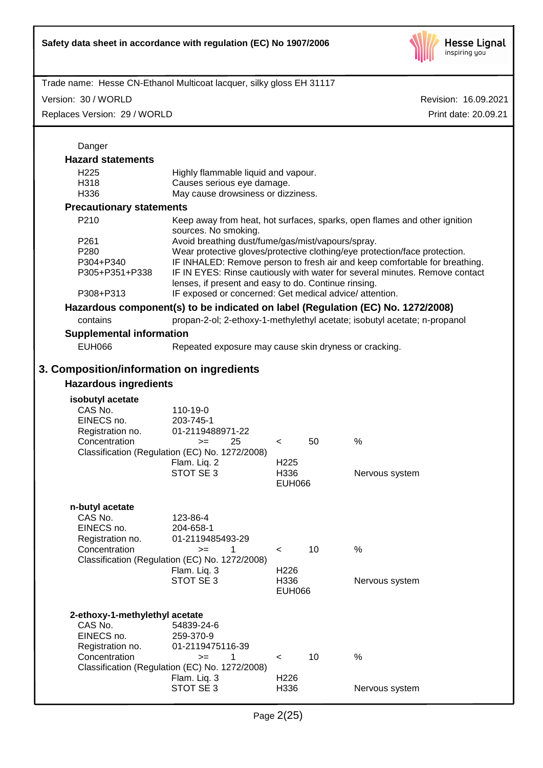

Version: 30 / WORLD

Replaces Version: 29 / WORLD

| Danger                                                                        |                                                                                                                                                                                                                                                                                                                                                      |                                           |    |                                                                                                                                                              |
|-------------------------------------------------------------------------------|------------------------------------------------------------------------------------------------------------------------------------------------------------------------------------------------------------------------------------------------------------------------------------------------------------------------------------------------------|-------------------------------------------|----|--------------------------------------------------------------------------------------------------------------------------------------------------------------|
| <b>Hazard statements</b>                                                      |                                                                                                                                                                                                                                                                                                                                                      |                                           |    |                                                                                                                                                              |
| H <sub>225</sub><br>H318<br>H336                                              | Highly flammable liquid and vapour.<br>Causes serious eye damage.<br>May cause drowsiness or dizziness.                                                                                                                                                                                                                                              |                                           |    |                                                                                                                                                              |
| <b>Precautionary statements</b>                                               |                                                                                                                                                                                                                                                                                                                                                      |                                           |    |                                                                                                                                                              |
| P210                                                                          | sources. No smoking.                                                                                                                                                                                                                                                                                                                                 |                                           |    | Keep away from heat, hot surfaces, sparks, open flames and other ignition                                                                                    |
| P <sub>261</sub><br>P280<br>P304+P340<br>P305+P351+P338                       | Avoid breathing dust/fume/gas/mist/vapours/spray.<br>Wear protective gloves/protective clothing/eye protection/face protection.<br>IF INHALED: Remove person to fresh air and keep comfortable for breathing.<br>IF IN EYES: Rinse cautiously with water for several minutes. Remove contact<br>lenses, if present and easy to do. Continue rinsing. |                                           |    |                                                                                                                                                              |
| P308+P313                                                                     | IF exposed or concerned: Get medical advice/attention.                                                                                                                                                                                                                                                                                               |                                           |    |                                                                                                                                                              |
| contains                                                                      |                                                                                                                                                                                                                                                                                                                                                      |                                           |    | Hazardous component(s) to be indicated on label (Regulation (EC) No. 1272/2008)<br>propan-2-ol; 2-ethoxy-1-methylethyl acetate; isobutyl acetate; n-propanol |
| <b>Supplemental information</b>                                               |                                                                                                                                                                                                                                                                                                                                                      |                                           |    |                                                                                                                                                              |
| EUH066                                                                        | Repeated exposure may cause skin dryness or cracking.                                                                                                                                                                                                                                                                                                |                                           |    |                                                                                                                                                              |
|                                                                               |                                                                                                                                                                                                                                                                                                                                                      |                                           |    |                                                                                                                                                              |
| 3. Composition/information on ingredients<br><b>Hazardous ingredients</b>     |                                                                                                                                                                                                                                                                                                                                                      |                                           |    |                                                                                                                                                              |
| isobutyl acetate                                                              |                                                                                                                                                                                                                                                                                                                                                      |                                           |    |                                                                                                                                                              |
| CAS No.<br>EINECS no.<br>Registration no.<br>Concentration                    | 110-19-0<br>203-745-1<br>01-2119488971-22<br>25<br>$>=$<br>Classification (Regulation (EC) No. 1272/2008)<br>Flam. Liq. 2<br>STOT SE 3                                                                                                                                                                                                               | $\prec$<br>H <sub>225</sub><br>H336       | 50 | %<br>Nervous system                                                                                                                                          |
|                                                                               |                                                                                                                                                                                                                                                                                                                                                      | <b>EUH066</b>                             |    |                                                                                                                                                              |
| n-butyl acetate<br>CAS No.<br>EINECS no.<br>Registration no.<br>Concentration | 123-86-4<br>204-658-1<br>01-2119485493-29<br>$> =$ 1                                                                                                                                                                                                                                                                                                 |                                           | 10 | %                                                                                                                                                            |
|                                                                               | Classification (Regulation (EC) No. 1272/2008)                                                                                                                                                                                                                                                                                                       | $\leq$                                    |    |                                                                                                                                                              |
|                                                                               | Flam. Liq. 3<br>STOT SE 3                                                                                                                                                                                                                                                                                                                            | H <sub>226</sub><br>H336<br><b>EUH066</b> |    | Nervous system                                                                                                                                               |
| 2-ethoxy-1-methylethyl acetate<br>CAS No.<br>EINECS no.                       | 54839-24-6<br>259-370-9                                                                                                                                                                                                                                                                                                                              |                                           |    |                                                                                                                                                              |
| Registration no.<br>Concentration                                             | 01-2119475116-39<br>1<br>$>=$                                                                                                                                                                                                                                                                                                                        | $\,<\,$                                   | 10 | %                                                                                                                                                            |
|                                                                               | Classification (Regulation (EC) No. 1272/2008)<br>Flam. Liq. 3<br>STOT SE 3                                                                                                                                                                                                                                                                          | H <sub>226</sub><br>H336                  |    | Nervous system                                                                                                                                               |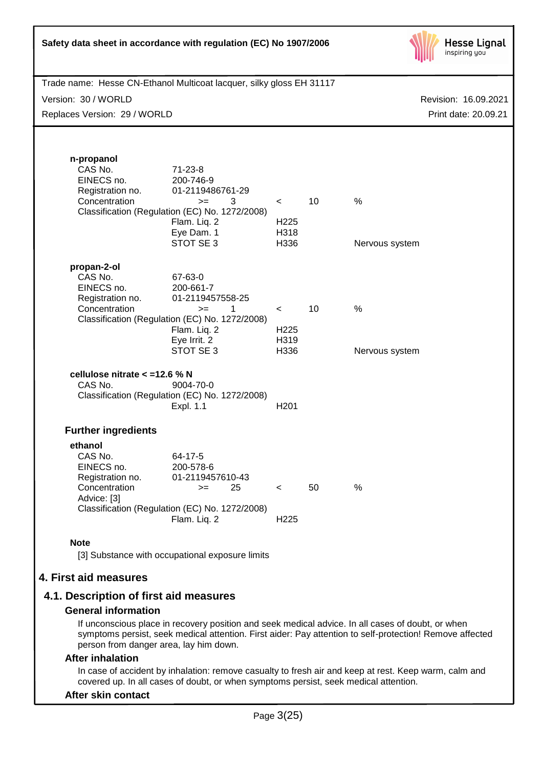| Safety data sheet in accordance with regulation (EC) No 1907/2006    |                                                                                                               |                                             |    | <b>Hesse Lignal</b><br>inspiring you |
|----------------------------------------------------------------------|---------------------------------------------------------------------------------------------------------------|---------------------------------------------|----|--------------------------------------|
| Trade name: Hesse CN-Ethanol Multicoat lacquer, silky gloss EH 31117 |                                                                                                               |                                             |    |                                      |
| Version: 30 / WORLD                                                  |                                                                                                               |                                             |    | Revision: 16.09.2021                 |
| Replaces Version: 29 / WORLD                                         |                                                                                                               |                                             |    | Print date: 20.09.21                 |
| n-propanol<br>CAS No.<br>EINECS no.                                  | $71 - 23 - 8$<br>200-746-9                                                                                    |                                             |    |                                      |
| Registration no.<br>Concentration                                    | 01-2119486761-29<br>3<br>$>=$<br>Classification (Regulation (EC) No. 1272/2008)<br>Flam. Liq. 2<br>Eye Dam. 1 | $\prec$<br>H <sub>225</sub><br>H318         | 10 | %                                    |
|                                                                      | STOT SE 3                                                                                                     | H336                                        |    | Nervous system                       |
| propan-2-ol<br>CAS No.<br>EINECS no.<br>Registration no.             | 67-63-0<br>200-661-7<br>01-2119457558-25<br>$\mathbf{1}$                                                      |                                             | 10 | %                                    |
| Concentration                                                        | $>=$<br>Classification (Regulation (EC) No. 1272/2008)<br>Flam. Liq. 2<br>Eye Irrit. 2<br>STOT SE 3           | $\prec$<br>H <sub>225</sub><br>H319<br>H336 |    | Nervous system                       |
| cellulose nitrate < = 12.6 % N<br>CAS No.                            | 9004-70-0<br>Classification (Regulation (EC) No. 1272/2008)<br>Expl. 1.1                                      | H <sub>201</sub>                            |    |                                      |
| <b>Further ingredients</b>                                           |                                                                                                               |                                             |    |                                      |
| ethanol<br>CAS No.<br>EINECS no.<br>Registration no.                 | 64-17-5<br>200-578-6<br>01-2119457610-43                                                                      |                                             |    |                                      |
| Concentration<br>Advice: [3]                                         | 25<br>$>=$<br>Classification (Regulation (EC) No. 1272/2008)<br>Flam. Liq. 2                                  | $\lt$<br>H <sub>225</sub>                   | 50 | %                                    |
|                                                                      |                                                                                                               |                                             |    |                                      |
| <b>Note</b>                                                          | [3] Substance with occupational exposure limits                                                               |                                             |    |                                      |
| 4. First aid measures                                                |                                                                                                               |                                             |    |                                      |
| 4.1. Description of first aid measures                               |                                                                                                               |                                             |    |                                      |
| <b>General information</b>                                           |                                                                                                               |                                             |    |                                      |

If unconscious place in recovery position and seek medical advice. In all cases of doubt, or when symptoms persist, seek medical attention. First aider: Pay attention to self-protection! Remove affected person from danger area, lay him down.

## **After inhalation**

In case of accident by inhalation: remove casualty to fresh air and keep at rest. Keep warm, calm and covered up. In all cases of doubt, or when symptoms persist, seek medical attention.

## **After skin contact**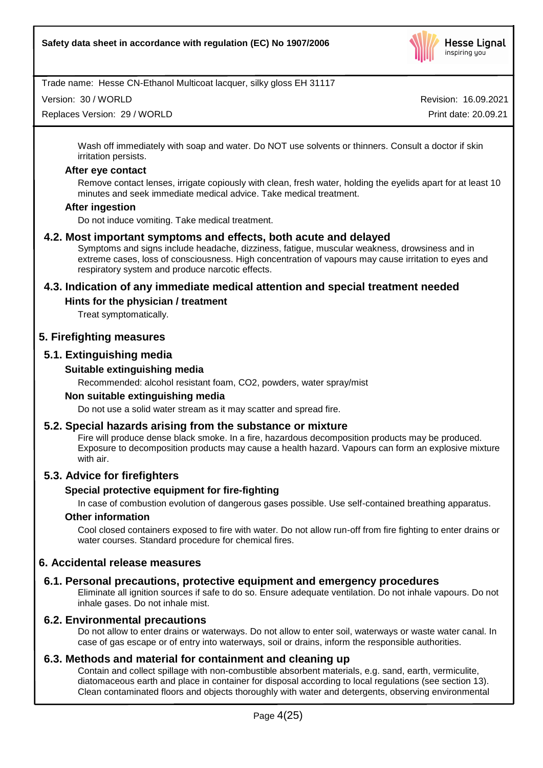

Version: 30 / WORLD

Replaces Version: 29 / WORLD

Revision: 16.09.2021 Print date: 20.09.21

Wash off immediately with soap and water. Do NOT use solvents or thinners. Consult a doctor if skin irritation persists.

#### **After eye contact**

Remove contact lenses, irrigate copiously with clean, fresh water, holding the eyelids apart for at least 10 minutes and seek immediate medical advice. Take medical treatment.

#### **After ingestion**

Do not induce vomiting. Take medical treatment.

## **4.2. Most important symptoms and effects, both acute and delayed**

Symptoms and signs include headache, dizziness, fatigue, muscular weakness, drowsiness and in extreme cases, loss of consciousness. High concentration of vapours may cause irritation to eyes and respiratory system and produce narcotic effects.

## **4.3. Indication of any immediate medical attention and special treatment needed**

## **Hints for the physician / treatment**

Treat symptomatically.

## **5. Firefighting measures**

## **5.1. Extinguishing media**

## **Suitable extinguishing media**

Recommended: alcohol resistant foam, CO2, powders, water spray/mist

#### **Non suitable extinguishing media**

Do not use a solid water stream as it may scatter and spread fire.

## **5.2. Special hazards arising from the substance or mixture**

Fire will produce dense black smoke. In a fire, hazardous decomposition products may be produced. Exposure to decomposition products may cause a health hazard. Vapours can form an explosive mixture with air.

## **5.3. Advice for firefighters**

## **Special protective equipment for fire-fighting**

In case of combustion evolution of dangerous gases possible. Use self-contained breathing apparatus.

## **Other information**

Cool closed containers exposed to fire with water. Do not allow run-off from fire fighting to enter drains or water courses. Standard procedure for chemical fires.

## **6. Accidental release measures**

## **6.1. Personal precautions, protective equipment and emergency procedures**

Eliminate all ignition sources if safe to do so. Ensure adequate ventilation. Do not inhale vapours. Do not inhale gases. Do not inhale mist.

## **6.2. Environmental precautions**

Do not allow to enter drains or waterways. Do not allow to enter soil, waterways or waste water canal. In case of gas escape or of entry into waterways, soil or drains, inform the responsible authorities.

## **6.3. Methods and material for containment and cleaning up**

Contain and collect spillage with non-combustible absorbent materials, e.g. sand, earth, vermiculite, diatomaceous earth and place in container for disposal according to local regulations (see section 13). Clean contaminated floors and objects thoroughly with water and detergents, observing environmental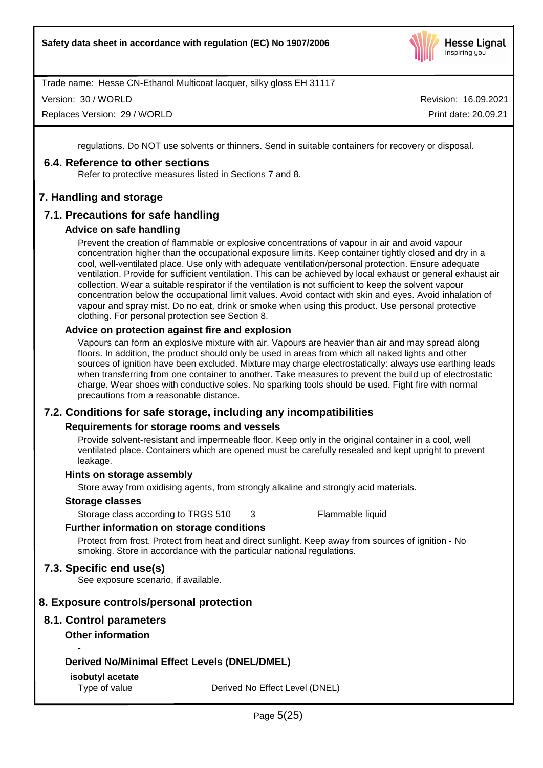

Version: 30 / WORLD

Replaces Version: 29 / WORLD

Revision: 16.09.2021 Print date: 20.09.21

regulations. Do NOT use solvents or thinners. Send in suitable containers for recovery or disposal.

## **6.4. Reference to other sections**

Refer to protective measures listed in Sections 7 and 8.

## **7. Handling and storage**

## **7.1. Precautions for safe handling**

## **Advice on safe handling**

Prevent the creation of flammable or explosive concentrations of vapour in air and avoid vapour concentration higher than the occupational exposure limits. Keep container tightly closed and dry in a cool, well-ventilated place. Use only with adequate ventilation/personal protection. Ensure adequate ventilation. Provide for sufficient ventilation. This can be achieved by local exhaust or general exhaust air collection. Wear a suitable respirator if the ventilation is not sufficient to keep the solvent vapour concentration below the occupational limit values. Avoid contact with skin and eyes. Avoid inhalation of vapour and spray mist. Do no eat, drink or smoke when using this product. Use personal protective clothing. For personal protection see Section 8.

## **Advice on protection against fire and explosion**

Vapours can form an explosive mixture with air. Vapours are heavier than air and may spread along floors. In addition, the product should only be used in areas from which all naked lights and other sources of ignition have been excluded. Mixture may charge electrostatically: always use earthing leads when transferring from one container to another. Take measures to prevent the build up of electrostatic charge. Wear shoes with conductive soles. No sparking tools should be used. Fight fire with normal precautions from a reasonable distance.

## **7.2. Conditions for safe storage, including any incompatibilities**

## **Requirements for storage rooms and vessels**

Provide solvent-resistant and impermeable floor. Keep only in the original container in a cool, well ventilated place. Containers which are opened must be carefully resealed and kept upright to prevent leakage.

## **Hints on storage assembly**

Store away from oxidising agents, from strongly alkaline and strongly acid materials.

## **Storage classes**

Storage class according to TRGS 510 3 Flammable liquid

## **Further information on storage conditions**

Protect from frost. Protect from heat and direct sunlight. Keep away from sources of ignition - No smoking. Store in accordance with the particular national regulations.

## **7.3. Specific end use(s)**

See exposure scenario, if available.

## **8. Exposure controls/personal protection**

# **8.1. Control parameters**

## **Other information**

-

## **Derived No/Minimal Effect Levels (DNEL/DMEL)**

## **isobutyl acetate**

Type of value Derived No Effect Level (DNEL)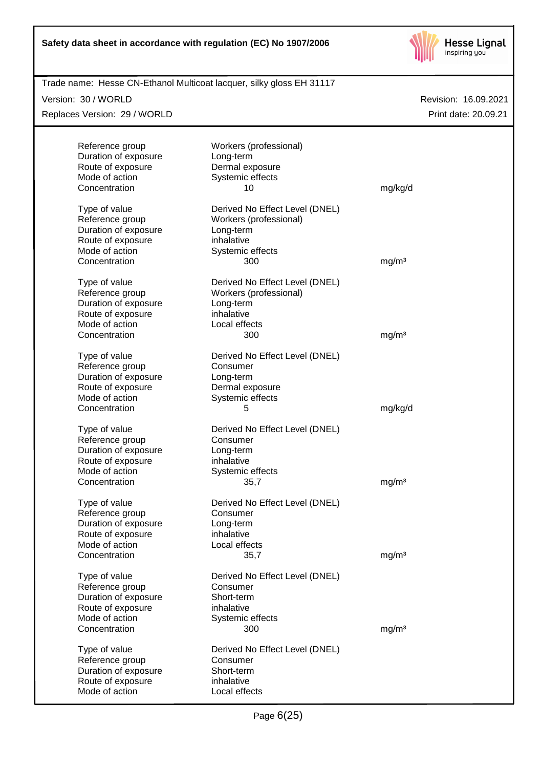

| Trade name: Hesse CN-Ethanol Multicoat lacquer, silky gloss EH 31117<br>Version: 30 / WORLD |                                            | Revision: 16.09.2021 |
|---------------------------------------------------------------------------------------------|--------------------------------------------|----------------------|
| Replaces Version: 29 / WORLD                                                                |                                            | Print date: 20.09.21 |
| Reference group                                                                             | Workers (professional)                     |                      |
| Duration of exposure                                                                        | Long-term                                  |                      |
| Route of exposure                                                                           | Dermal exposure                            |                      |
| Mode of action                                                                              | Systemic effects                           |                      |
| Concentration                                                                               | 10                                         | mg/kg/d              |
| Type of value                                                                               | Derived No Effect Level (DNEL)             |                      |
| Reference group                                                                             | Workers (professional)                     |                      |
| Duration of exposure                                                                        | Long-term                                  |                      |
| Route of exposure                                                                           | inhalative                                 |                      |
| Mode of action                                                                              | Systemic effects                           |                      |
| Concentration                                                                               | 300                                        | mg/m <sup>3</sup>    |
| Type of value                                                                               | Derived No Effect Level (DNEL)             |                      |
| Reference group                                                                             | Workers (professional)                     |                      |
| Duration of exposure                                                                        | Long-term                                  |                      |
| Route of exposure<br>Mode of action                                                         | inhalative<br>Local effects                |                      |
| Concentration                                                                               | 300                                        | mg/m <sup>3</sup>    |
|                                                                                             |                                            |                      |
| Type of value                                                                               | Derived No Effect Level (DNEL)             |                      |
| Reference group                                                                             | Consumer                                   |                      |
| Duration of exposure                                                                        | Long-term                                  |                      |
| Route of exposure                                                                           | Dermal exposure                            |                      |
| Mode of action                                                                              | Systemic effects                           |                      |
| Concentration                                                                               | 5                                          | mg/kg/d              |
| Type of value                                                                               | Derived No Effect Level (DNEL)             |                      |
| Reference group                                                                             | Consumer                                   |                      |
| Duration of exposure                                                                        | Long-term                                  |                      |
| Route of exposure                                                                           | inhalative                                 |                      |
| Mode of action                                                                              | Systemic effects                           | mg/m <sup>3</sup>    |
| Concentration                                                                               | 35,7                                       |                      |
| Type of value                                                                               | Derived No Effect Level (DNEL)             |                      |
| Reference group                                                                             | Consumer                                   |                      |
| Duration of exposure                                                                        | Long-term                                  |                      |
| Route of exposure<br>Mode of action                                                         | inhalative<br>Local effects                |                      |
| Concentration                                                                               | 35,7                                       | mg/m <sup>3</sup>    |
|                                                                                             |                                            |                      |
| Type of value<br>Reference group                                                            | Derived No Effect Level (DNEL)<br>Consumer |                      |
| Duration of exposure                                                                        | Short-term                                 |                      |
| Route of exposure                                                                           | inhalative                                 |                      |
| Mode of action                                                                              | Systemic effects                           |                      |
| Concentration                                                                               | 300                                        | mg/m <sup>3</sup>    |
| Type of value                                                                               | Derived No Effect Level (DNEL)             |                      |
| Reference group                                                                             | Consumer                                   |                      |
| Duration of exposure                                                                        | Short-term                                 |                      |
| Route of exposure                                                                           | inhalative                                 |                      |
| Mode of action                                                                              | Local effects                              |                      |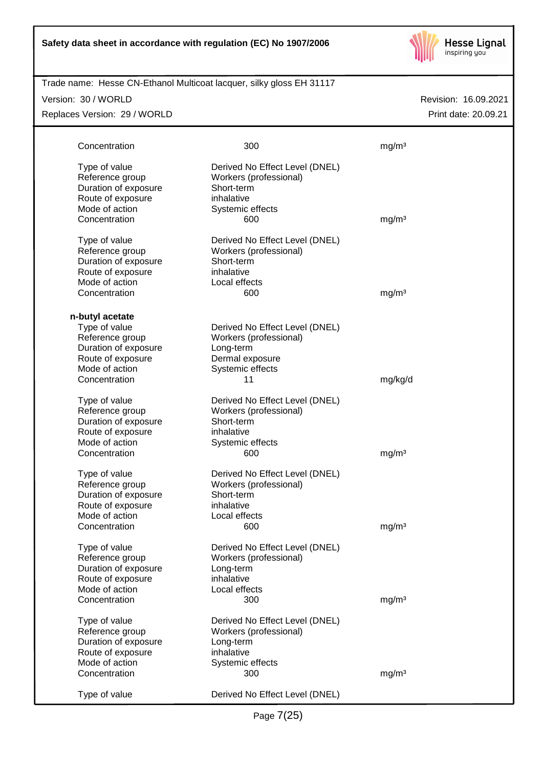

| Trade name: Hesse CN-Ethanol Multicoat lacquer, silky gloss EH 31117 |                                      |                      |
|----------------------------------------------------------------------|--------------------------------------|----------------------|
| Version: 30 / WORLD                                                  |                                      | Revision: 16.09.2021 |
| Replaces Version: 29 / WORLD                                         |                                      | Print date: 20.09.21 |
|                                                                      |                                      |                      |
|                                                                      |                                      |                      |
| Concentration                                                        | 300                                  | mg/m <sup>3</sup>    |
| Type of value                                                        | Derived No Effect Level (DNEL)       |                      |
| Reference group                                                      | Workers (professional)               |                      |
| Duration of exposure                                                 | Short-term                           |                      |
| Route of exposure                                                    | inhalative                           |                      |
| Mode of action                                                       | Systemic effects                     |                      |
| Concentration                                                        | 600                                  | mg/m <sup>3</sup>    |
|                                                                      |                                      |                      |
| Type of value                                                        | Derived No Effect Level (DNEL)       |                      |
| Reference group<br>Duration of exposure                              | Workers (professional)<br>Short-term |                      |
| Route of exposure                                                    | inhalative                           |                      |
| Mode of action                                                       | Local effects                        |                      |
| Concentration                                                        | 600                                  | mg/m <sup>3</sup>    |
|                                                                      |                                      |                      |
| n-butyl acetate                                                      |                                      |                      |
| Type of value                                                        | Derived No Effect Level (DNEL)       |                      |
| Reference group                                                      | Workers (professional)               |                      |
| Duration of exposure                                                 | Long-term                            |                      |
| Route of exposure                                                    | Dermal exposure                      |                      |
| Mode of action                                                       | Systemic effects                     |                      |
| Concentration                                                        | 11                                   | mg/kg/d              |
| Type of value                                                        | Derived No Effect Level (DNEL)       |                      |
| Reference group                                                      | Workers (professional)               |                      |
| Duration of exposure                                                 | Short-term                           |                      |
| Route of exposure                                                    | inhalative                           |                      |
| Mode of action                                                       | Systemic effects                     |                      |
| Concentration                                                        | 600                                  | mg/m <sup>3</sup>    |
|                                                                      |                                      |                      |
| Type of value                                                        | Derived No Effect Level (DNEL)       |                      |
| Reference group                                                      | Workers (professional)               |                      |
| Duration of exposure                                                 | Short-term                           |                      |
| Route of exposure                                                    | inhalative                           |                      |
| Mode of action                                                       | Local effects                        |                      |
| Concentration                                                        | 600                                  | mg/m <sup>3</sup>    |
| Type of value                                                        | Derived No Effect Level (DNEL)       |                      |
| Reference group                                                      | Workers (professional)               |                      |
| Duration of exposure                                                 | Long-term                            |                      |
| Route of exposure                                                    | inhalative                           |                      |
| Mode of action                                                       | Local effects                        |                      |
| Concentration                                                        | 300                                  | mg/m <sup>3</sup>    |
| Type of value                                                        | Derived No Effect Level (DNEL)       |                      |
| Reference group                                                      | Workers (professional)               |                      |
| Duration of exposure                                                 | Long-term                            |                      |
| Route of exposure                                                    | inhalative                           |                      |
| Mode of action                                                       | Systemic effects                     |                      |
| Concentration                                                        | 300                                  | mg/m <sup>3</sup>    |
|                                                                      |                                      |                      |
| Type of value                                                        | Derived No Effect Level (DNEL)       |                      |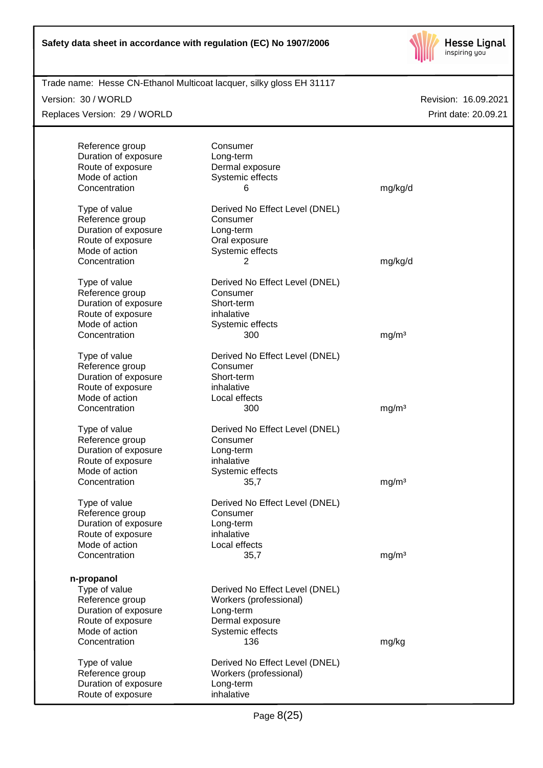

| Trade name: Hesse CN-Ethanol Multicoat lacquer, silky gloss EH 31117 |                                |                      |
|----------------------------------------------------------------------|--------------------------------|----------------------|
| Version: 30 / WORLD                                                  |                                | Revision: 16.09.2021 |
| Replaces Version: 29 / WORLD                                         |                                | Print date: 20.09.21 |
|                                                                      |                                |                      |
| Reference group                                                      | Consumer                       |                      |
| Duration of exposure                                                 | Long-term                      |                      |
| Route of exposure                                                    | Dermal exposure                |                      |
| Mode of action                                                       | Systemic effects               |                      |
| Concentration                                                        | 6                              | mg/kg/d              |
|                                                                      |                                |                      |
| Type of value                                                        | Derived No Effect Level (DNEL) |                      |
| Reference group                                                      | Consumer                       |                      |
| Duration of exposure                                                 | Long-term                      |                      |
| Route of exposure                                                    | Oral exposure                  |                      |
| Mode of action                                                       | Systemic effects               |                      |
| Concentration                                                        | 2                              | mg/kg/d              |
| Type of value                                                        | Derived No Effect Level (DNEL) |                      |
| Reference group                                                      | Consumer                       |                      |
| Duration of exposure                                                 | Short-term                     |                      |
| Route of exposure                                                    | inhalative                     |                      |
| Mode of action                                                       | Systemic effects               |                      |
| Concentration                                                        | 300                            | mg/m <sup>3</sup>    |
|                                                                      |                                |                      |
| Type of value                                                        | Derived No Effect Level (DNEL) |                      |
| Reference group                                                      | Consumer                       |                      |
| Duration of exposure                                                 | Short-term                     |                      |
| Route of exposure                                                    | inhalative                     |                      |
| Mode of action                                                       | Local effects                  |                      |
| Concentration                                                        | 300                            | mg/m <sup>3</sup>    |
| Type of value                                                        | Derived No Effect Level (DNEL) |                      |
|                                                                      | Consumer                       |                      |
| Reference group                                                      |                                |                      |
| Duration of exposure                                                 | Long-term                      |                      |
| Route of exposure                                                    | inhalative                     |                      |
| Mode of action                                                       | Systemic effects               |                      |
| Concentration                                                        | 35,7                           | mg/m <sup>3</sup>    |
| Type of value                                                        | Derived No Effect Level (DNEL) |                      |
| Reference group                                                      | Consumer                       |                      |
| Duration of exposure                                                 | Long-term                      |                      |
| Route of exposure                                                    | inhalative                     |                      |
| Mode of action                                                       | Local effects                  |                      |
| Concentration                                                        | 35,7                           | mg/m <sup>3</sup>    |
|                                                                      |                                |                      |
| n-propanol                                                           |                                |                      |
| Type of value                                                        | Derived No Effect Level (DNEL) |                      |
| Reference group                                                      | Workers (professional)         |                      |
| Duration of exposure                                                 | Long-term                      |                      |
| Route of exposure                                                    | Dermal exposure                |                      |
| Mode of action                                                       | Systemic effects               |                      |
| Concentration                                                        | 136                            | mg/kg                |
| Type of value                                                        | Derived No Effect Level (DNEL) |                      |
| Reference group                                                      | Workers (professional)         |                      |
| Duration of exposure                                                 | Long-term                      |                      |
| Route of exposure                                                    | inhalative                     |                      |
|                                                                      |                                |                      |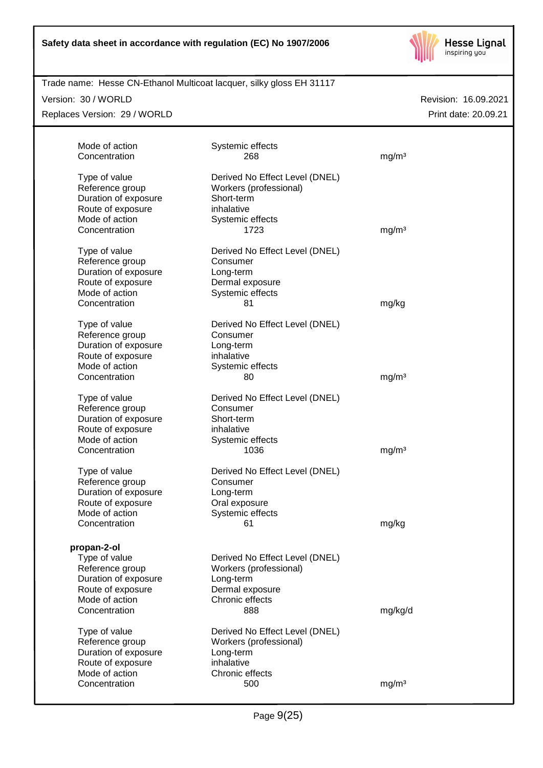

| Trade name: Hesse CN-Ethanol Multicoat lacquer, silky gloss EH 31117 |  |  |
|----------------------------------------------------------------------|--|--|
|                                                                      |  |  |

Version: 30 / WORLD

Replaces Version: 29 / WORLD

| Mode of action<br>Concentration | Systemic effects<br>268        | mg/m <sup>3</sup> |  |
|---------------------------------|--------------------------------|-------------------|--|
|                                 |                                |                   |  |
| Type of value                   | Derived No Effect Level (DNEL) |                   |  |
| Reference group                 | Workers (professional)         |                   |  |
| Duration of exposure            | Short-term                     |                   |  |
| Route of exposure               | inhalative                     |                   |  |
| Mode of action                  | Systemic effects               |                   |  |
| Concentration                   | 1723                           | mg/m <sup>3</sup> |  |
|                                 |                                |                   |  |
| Type of value                   | Derived No Effect Level (DNEL) |                   |  |
| Reference group                 | Consumer                       |                   |  |
| Duration of exposure            | Long-term                      |                   |  |
| Route of exposure               | Dermal exposure                |                   |  |
| Mode of action                  | Systemic effects               |                   |  |
| Concentration                   | 81                             | mg/kg             |  |
|                                 |                                |                   |  |
| Type of value                   | Derived No Effect Level (DNEL) |                   |  |
| Reference group                 | Consumer                       |                   |  |
| Duration of exposure            | Long-term                      |                   |  |
| Route of exposure               | inhalative                     |                   |  |
| Mode of action                  | Systemic effects               |                   |  |
| Concentration                   | 80                             | mg/m <sup>3</sup> |  |
|                                 |                                |                   |  |
| Type of value                   | Derived No Effect Level (DNEL) |                   |  |
| Reference group                 | Consumer                       |                   |  |
| Duration of exposure            | Short-term                     |                   |  |
| Route of exposure               | inhalative                     |                   |  |
| Mode of action                  | Systemic effects               |                   |  |
| Concentration                   | 1036                           | mg/m <sup>3</sup> |  |
| Type of value                   | Derived No Effect Level (DNEL) |                   |  |
| Reference group                 | Consumer                       |                   |  |
| Duration of exposure            | Long-term                      |                   |  |
| Route of exposure               | Oral exposure                  |                   |  |
| Mode of action                  | Systemic effects               |                   |  |
| Concentration                   | 61                             | mg/kg             |  |
|                                 |                                |                   |  |
| propan-2-ol                     |                                |                   |  |
| Type of value                   | Derived No Effect Level (DNEL) |                   |  |
| Reference group                 | Workers (professional)         |                   |  |
| Duration of exposure            | Long-term                      |                   |  |
| Route of exposure               | Dermal exposure                |                   |  |
| Mode of action                  | Chronic effects                |                   |  |
| Concentration                   | 888                            | mg/kg/d           |  |
|                                 |                                |                   |  |
| Type of value                   | Derived No Effect Level (DNEL) |                   |  |
| Reference group                 | Workers (professional)         |                   |  |
| Duration of exposure            | Long-term                      |                   |  |
| Route of exposure               | inhalative                     |                   |  |
| Mode of action                  | Chronic effects                |                   |  |
| Concentration                   | 500                            | mg/m <sup>3</sup> |  |
|                                 |                                |                   |  |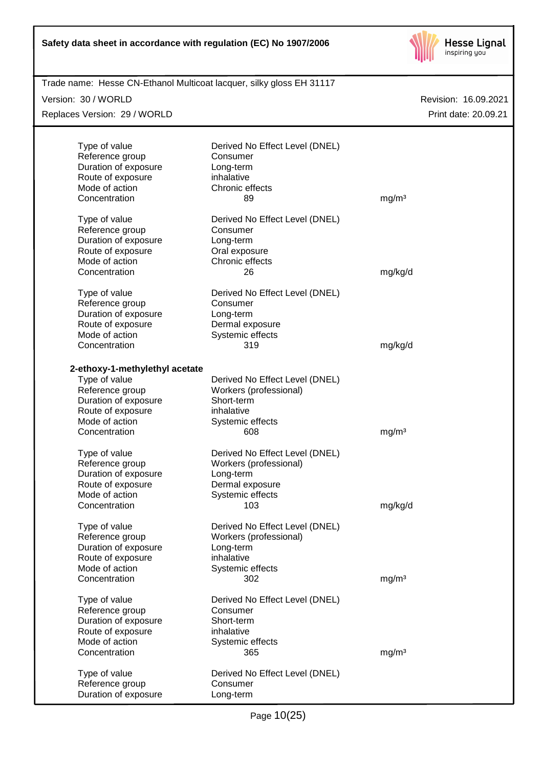

| Trade name: Hesse CN-Ethanol Multicoat lacquer, silky gloss EH 31117<br>Version: 30 / WORLD |                                            | Revision: 16.09.2021 |
|---------------------------------------------------------------------------------------------|--------------------------------------------|----------------------|
| Replaces Version: 29 / WORLD                                                                |                                            | Print date: 20.09.21 |
|                                                                                             |                                            |                      |
| Type of value                                                                               | Derived No Effect Level (DNEL)             |                      |
| Reference group                                                                             | Consumer                                   |                      |
| Duration of exposure                                                                        | Long-term<br>inhalative                    |                      |
| Route of exposure<br>Mode of action                                                         | Chronic effects                            |                      |
| Concentration                                                                               | 89                                         | mg/m <sup>3</sup>    |
| Type of value                                                                               | Derived No Effect Level (DNEL)             |                      |
| Reference group                                                                             | Consumer                                   |                      |
| Duration of exposure                                                                        | Long-term                                  |                      |
| Route of exposure                                                                           | Oral exposure                              |                      |
| Mode of action                                                                              | Chronic effects                            |                      |
| Concentration                                                                               | 26                                         | mg/kg/d              |
| Type of value                                                                               | Derived No Effect Level (DNEL)             |                      |
| Reference group                                                                             | Consumer                                   |                      |
| Duration of exposure                                                                        | Long-term                                  |                      |
| Route of exposure                                                                           | Dermal exposure                            |                      |
| Mode of action                                                                              | Systemic effects                           |                      |
| Concentration                                                                               | 319                                        | mg/kg/d              |
| 2-ethoxy-1-methylethyl acetate                                                              |                                            |                      |
| Type of value                                                                               | Derived No Effect Level (DNEL)             |                      |
| Reference group                                                                             | Workers (professional)                     |                      |
| Duration of exposure                                                                        | Short-term                                 |                      |
| Route of exposure                                                                           | inhalative                                 |                      |
| Mode of action                                                                              | Systemic effects                           |                      |
| Concentration                                                                               | 608                                        | mg/m <sup>3</sup>    |
| Type of value                                                                               | Derived No Effect Level (DNEL)             |                      |
| Reference group                                                                             | Workers (professional)                     |                      |
| Duration of exposure                                                                        | Long-term                                  |                      |
| Route of exposure                                                                           | Dermal exposure                            |                      |
| Mode of action                                                                              | Systemic effects                           |                      |
| Concentration                                                                               | 103                                        | mg/kg/d              |
| Type of value                                                                               | Derived No Effect Level (DNEL)             |                      |
| Reference group                                                                             | Workers (professional)                     |                      |
| Duration of exposure                                                                        | Long-term                                  |                      |
| Route of exposure                                                                           | inhalative                                 |                      |
| Mode of action                                                                              | Systemic effects                           |                      |
| Concentration                                                                               | 302                                        | mg/m <sup>3</sup>    |
| Type of value                                                                               | Derived No Effect Level (DNEL)             |                      |
| Reference group                                                                             | Consumer                                   |                      |
| Duration of exposure                                                                        | Short-term                                 |                      |
| Route of exposure<br>Mode of action                                                         | inhalative                                 |                      |
| Concentration                                                                               | Systemic effects<br>365                    | mg/m <sup>3</sup>    |
|                                                                                             |                                            |                      |
| Type of value<br>Reference group                                                            | Derived No Effect Level (DNEL)<br>Consumer |                      |
| Duration of exposure                                                                        | Long-term                                  |                      |
|                                                                                             |                                            |                      |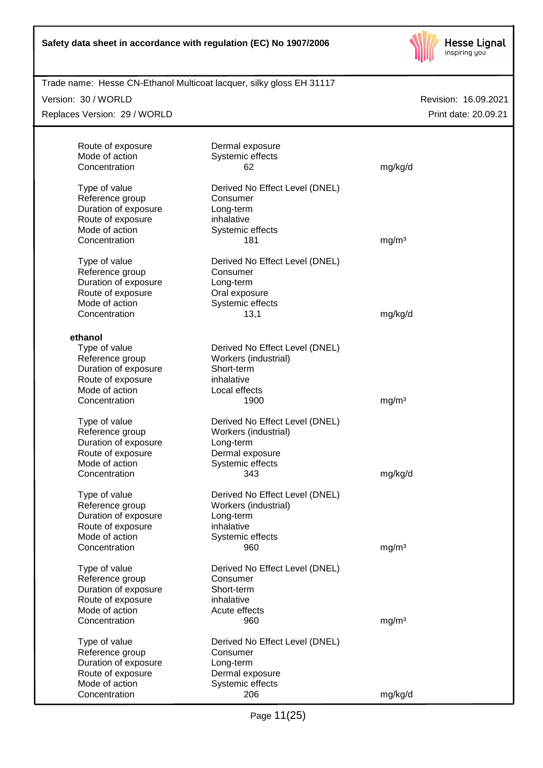

| Version: 30 / WORLD<br>Replaces Version: 29 / WORLD |                                     |                   | Revision: 16.09.2021<br>Print date: 20.09.21 |
|-----------------------------------------------------|-------------------------------------|-------------------|----------------------------------------------|
|                                                     |                                     |                   |                                              |
| Route of exposure                                   | Dermal exposure                     |                   |                                              |
| Mode of action                                      | Systemic effects                    |                   |                                              |
| Concentration                                       | 62                                  | mg/kg/d           |                                              |
| Type of value                                       | Derived No Effect Level (DNEL)      |                   |                                              |
| Reference group                                     | Consumer                            |                   |                                              |
| Duration of exposure                                | Long-term                           |                   |                                              |
| Route of exposure                                   | inhalative                          |                   |                                              |
| Mode of action                                      | Systemic effects                    |                   |                                              |
| Concentration                                       | 181                                 | mg/m <sup>3</sup> |                                              |
| Type of value                                       | Derived No Effect Level (DNEL)      |                   |                                              |
| Reference group                                     | Consumer                            |                   |                                              |
| Duration of exposure                                | Long-term                           |                   |                                              |
| Route of exposure                                   | Oral exposure                       |                   |                                              |
| Mode of action                                      | Systemic effects                    |                   |                                              |
| Concentration                                       | 13,1                                | mg/kg/d           |                                              |
| ethanol                                             |                                     |                   |                                              |
| Type of value                                       | Derived No Effect Level (DNEL)      |                   |                                              |
| Reference group                                     | Workers (industrial)                |                   |                                              |
| Duration of exposure                                | Short-term                          |                   |                                              |
| Route of exposure                                   | inhalative                          |                   |                                              |
| Mode of action                                      | Local effects                       |                   |                                              |
| Concentration                                       | 1900                                | mg/m <sup>3</sup> |                                              |
| Type of value                                       | Derived No Effect Level (DNEL)      |                   |                                              |
| Reference group                                     | Workers (industrial)                |                   |                                              |
| Duration of exposure                                | Long-term                           |                   |                                              |
| Route of exposure                                   | Dermal exposure                     |                   |                                              |
| Mode of action                                      | Systemic effects                    |                   |                                              |
| Concentration                                       | 343                                 | mg/kg/d           |                                              |
| Type of value                                       | Derived No Effect Level (DNEL)      |                   |                                              |
| Reference group                                     | Workers (industrial)                |                   |                                              |
| Duration of exposure                                | Long-term                           |                   |                                              |
| Route of exposure                                   | inhalative                          |                   |                                              |
| Mode of action<br>Concentration                     | Systemic effects<br>960             | mg/m <sup>3</sup> |                                              |
|                                                     |                                     |                   |                                              |
| Type of value                                       | Derived No Effect Level (DNEL)      |                   |                                              |
| Reference group                                     | Consumer                            |                   |                                              |
| Duration of exposure                                | Short-term                          |                   |                                              |
| Route of exposure                                   | inhalative                          |                   |                                              |
| Mode of action<br>Concentration                     | Acute effects<br>960                | mg/m <sup>3</sup> |                                              |
|                                                     |                                     |                   |                                              |
| Type of value                                       | Derived No Effect Level (DNEL)      |                   |                                              |
| Reference group                                     | Consumer                            |                   |                                              |
| Duration of exposure<br>Route of exposure           | Long-term                           |                   |                                              |
| Mode of action                                      | Dermal exposure<br>Systemic effects |                   |                                              |
| Concentration                                       | 206                                 | mg/kg/d           |                                              |
|                                                     |                                     |                   |                                              |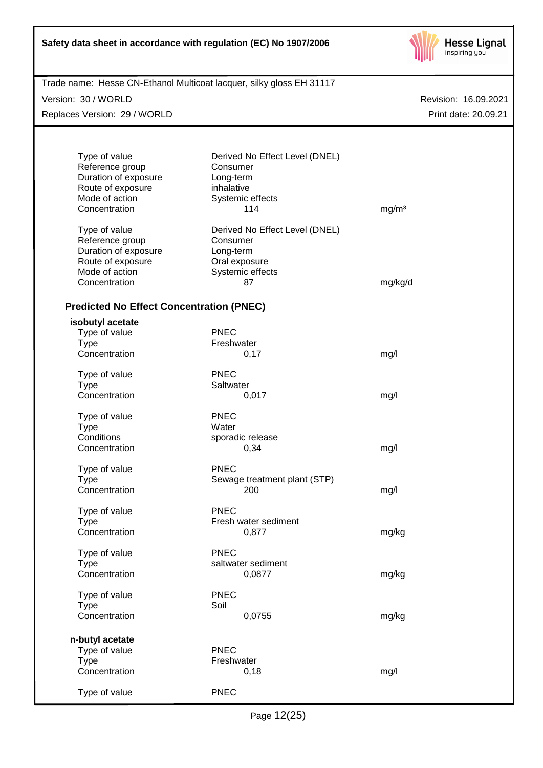

| Trade name: Hesse CN-Ethanol Multicoat lacquer, silky gloss EH 31117 |                                |                      |
|----------------------------------------------------------------------|--------------------------------|----------------------|
| Version: 30 / WORLD                                                  |                                | Revision: 16.09.2021 |
| Replaces Version: 29 / WORLD                                         |                                | Print date: 20.09.21 |
|                                                                      |                                |                      |
| Type of value                                                        | Derived No Effect Level (DNEL) |                      |
| Reference group                                                      | Consumer                       |                      |
| Duration of exposure<br>Route of exposure                            | Long-term<br>inhalative        |                      |
| Mode of action                                                       | Systemic effects               |                      |
| Concentration                                                        | 114                            | mg/m <sup>3</sup>    |
|                                                                      |                                |                      |
| Type of value                                                        | Derived No Effect Level (DNEL) |                      |
| Reference group                                                      | Consumer                       |                      |
| Duration of exposure<br>Route of exposure                            | Long-term<br>Oral exposure     |                      |
| Mode of action                                                       | Systemic effects               |                      |
| Concentration                                                        | 87                             | mg/kg/d              |
|                                                                      |                                |                      |
| <b>Predicted No Effect Concentration (PNEC)</b>                      |                                |                      |
| isobutyl acetate                                                     |                                |                      |
| Type of value                                                        | <b>PNEC</b>                    |                      |
| <b>Type</b>                                                          | Freshwater                     |                      |
| Concentration                                                        | 0,17                           | mg/l                 |
| Type of value                                                        | <b>PNEC</b>                    |                      |
| <b>Type</b>                                                          | Saltwater                      |                      |
| Concentration                                                        | 0,017                          | mg/l                 |
| Type of value                                                        | <b>PNEC</b>                    |                      |
| <b>Type</b>                                                          | Water                          |                      |
| Conditions                                                           | sporadic release               |                      |
| Concentration                                                        | 0,34                           | mg/l                 |
| Type of value                                                        | <b>PNEC</b>                    |                      |
| Type                                                                 | Sewage treatment plant (STP)   |                      |
| Concentration                                                        | 200                            | mg/l                 |
|                                                                      |                                |                      |
| Type of value                                                        | <b>PNEC</b>                    |                      |
| <b>Type</b>                                                          | Fresh water sediment           |                      |
| Concentration                                                        | 0,877                          | mg/kg                |
| Type of value                                                        | <b>PNEC</b>                    |                      |
| <b>Type</b>                                                          | saltwater sediment             |                      |
| Concentration                                                        | 0,0877                         | mg/kg                |
| Type of value                                                        | <b>PNEC</b>                    |                      |
| <b>Type</b>                                                          | Soil                           |                      |
| Concentration                                                        | 0,0755                         | mg/kg                |
|                                                                      |                                |                      |
| n-butyl acetate                                                      |                                |                      |
| Type of value                                                        | <b>PNEC</b>                    |                      |
| <b>Type</b><br>Concentration                                         | Freshwater<br>0,18             | mg/l                 |
|                                                                      |                                |                      |
| Type of value                                                        | <b>PNEC</b>                    |                      |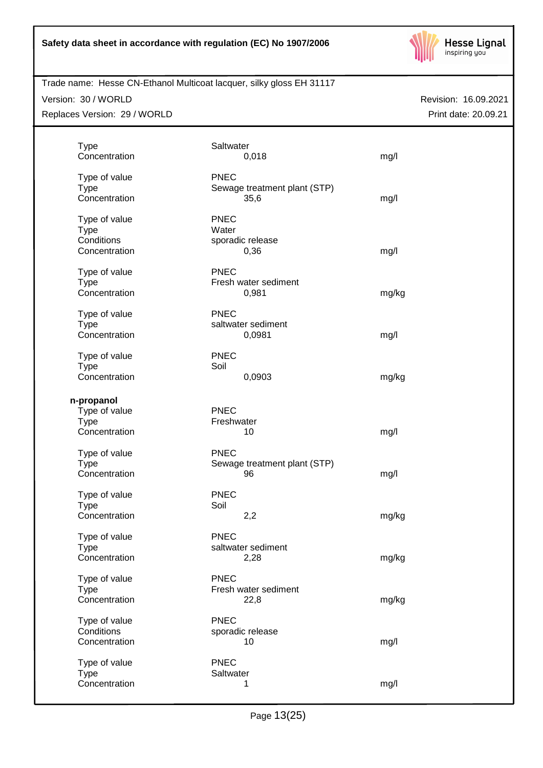

#### Version: 30 / WORLD

Replaces Version: 29 / WORLD

| <b>Type</b><br>Concentration                                | Saltwater<br>0,018                                  | mg/l  |
|-------------------------------------------------------------|-----------------------------------------------------|-------|
| Type of value<br><b>Type</b><br>Concentration               | <b>PNEC</b><br>Sewage treatment plant (STP)<br>35,6 | mg/l  |
| Type of value<br><b>Type</b><br>Conditions<br>Concentration | <b>PNEC</b><br>Water<br>sporadic release<br>0,36    | mg/l  |
| Type of value<br><b>Type</b><br>Concentration               | <b>PNEC</b><br>Fresh water sediment<br>0,981        | mg/kg |
| Type of value<br><b>Type</b><br>Concentration               | <b>PNEC</b><br>saltwater sediment<br>0,0981         | mg/l  |
| Type of value<br><b>Type</b><br>Concentration               | <b>PNEC</b><br>Soil<br>0,0903                       | mg/kg |
| n-propanol<br>Type of value<br><b>Type</b><br>Concentration | <b>PNEC</b><br>Freshwater<br>10                     | mg/l  |
| Type of value<br><b>Type</b><br>Concentration               | <b>PNEC</b><br>Sewage treatment plant (STP)<br>96   | mg/l  |
| Type of value<br><b>Type</b><br>Concentration               | <b>PNEC</b><br>Soil<br>2,2                          | mg/kg |
| Type of value<br>Type<br>Concentration                      | <b>PNEC</b><br>saltwater sediment<br>2,28           | mg/kg |
| Type of value<br><b>Type</b><br>Concentration               | <b>PNEC</b><br>Fresh water sediment<br>22,8         | mg/kg |
| Type of value<br>Conditions<br>Concentration                | <b>PNEC</b><br>sporadic release<br>10               | mg/l  |
| Type of value<br><b>Type</b><br>Concentration               | <b>PNEC</b><br>Saltwater<br>1                       | mg/l  |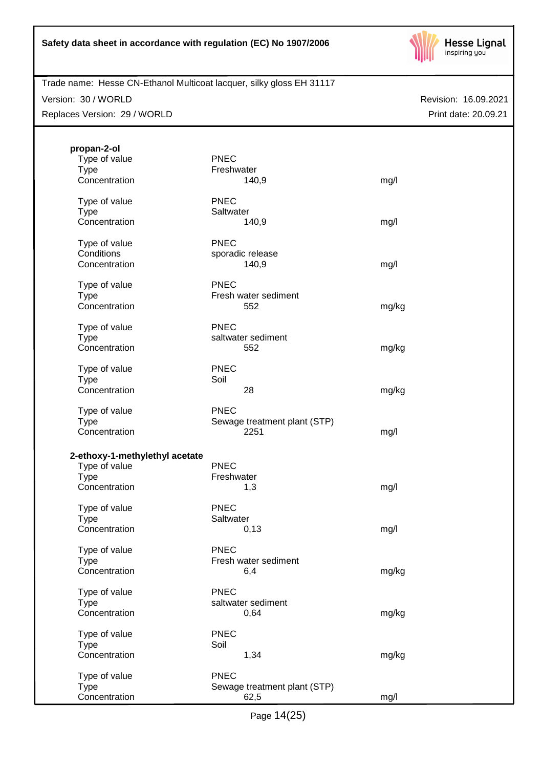

# Trade name: Hesse CN-Ethanol Multicoat lacquer, silky gloss EH 31117

Version: 30 / WORLD

Replaces Version: 29 / WORLD

| propan-2-ol<br>Type of value<br><b>Type</b><br>Concentration                    | <b>PNEC</b><br>Freshwater<br>140,9                  | mg/l  |
|---------------------------------------------------------------------------------|-----------------------------------------------------|-------|
| Type of value<br><b>Type</b><br>Concentration                                   | <b>PNEC</b><br>Saltwater<br>140,9                   | mg/l  |
| Type of value<br>Conditions<br>Concentration                                    | <b>PNEC</b><br>sporadic release<br>140,9            | mg/l  |
| Type of value<br><b>Type</b><br>Concentration                                   | <b>PNEC</b><br>Fresh water sediment<br>552          | mg/kg |
| Type of value<br><b>Type</b><br>Concentration                                   | <b>PNEC</b><br>saltwater sediment<br>552            | mg/kg |
| Type of value<br><b>Type</b><br>Concentration                                   | <b>PNEC</b><br>Soil<br>28                           | mg/kg |
| Type of value<br><b>Type</b><br>Concentration                                   | <b>PNEC</b><br>Sewage treatment plant (STP)<br>2251 | mg/l  |
| 2-ethoxy-1-methylethyl acetate<br>Type of value<br><b>Type</b><br>Concentration | <b>PNEC</b><br>Freshwater<br>1,3                    | mg/l  |
| Type of value<br><b>Type</b><br>Concentration                                   | <b>PNEC</b><br>Saltwater<br>0,13                    | mg/l  |
| Type of value<br><b>Type</b><br>Concentration                                   | <b>PNEC</b><br>Fresh water sediment<br>6,4          | mg/kg |
| Type of value<br><b>Type</b><br>Concentration                                   | <b>PNEC</b><br>saltwater sediment<br>0,64           | mg/kg |
| Type of value<br><b>Type</b><br>Concentration                                   | <b>PNEC</b><br>Soil<br>1,34                         | mg/kg |
| Type of value<br><b>Type</b><br>Concentration                                   | <b>PNEC</b><br>Sewage treatment plant (STP)<br>62,5 | mg/l  |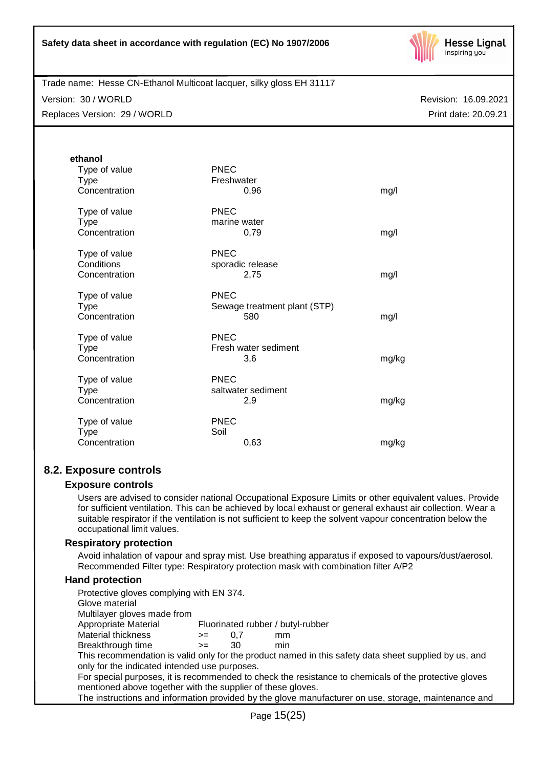

Trade name: Hesse CN-Ethanol Multicoat lacquer, silky gloss EH 31117 Version: 30 / WORLD

Replaces Version: 29 / WORLD

Revision: 16.09.2021 Print date: 20.09.21

| ethanol                                       |                                                    |       |
|-----------------------------------------------|----------------------------------------------------|-------|
| Type of value<br><b>Type</b><br>Concentration | <b>PNEC</b><br>Freshwater<br>0,96                  | mg/l  |
| Type of value<br><b>Type</b><br>Concentration | PNEC<br>marine water<br>0,79                       | mg/l  |
| Type of value<br>Conditions<br>Concentration  | <b>PNEC</b><br>sporadic release<br>2,75            | mg/l  |
| Type of value<br><b>Type</b><br>Concentration | <b>PNEC</b><br>Sewage treatment plant (STP)<br>580 | mg/l  |
| Type of value<br><b>Type</b><br>Concentration | <b>PNEC</b><br>Fresh water sediment<br>3,6         | mg/kg |
| Type of value<br><b>Type</b><br>Concentration | <b>PNEC</b><br>saltwater sediment<br>2,9           | mg/kg |
| Type of value<br><b>Type</b><br>Concentration | <b>PNEC</b><br>Soil<br>0,63                        | mg/kg |

# **8.2. Exposure controls**

## **Exposure controls**

Users are advised to consider national Occupational Exposure Limits or other equivalent values. Provide for sufficient ventilation. This can be achieved by local exhaust or general exhaust air collection. Wear a suitable respirator if the ventilation is not sufficient to keep the solvent vapour concentration below the occupational limit values.

## **Respiratory protection**

Avoid inhalation of vapour and spray mist. Use breathing apparatus if exposed to vapours/dust/aerosol. Recommended Filter type: Respiratory protection mask with combination filter A/P2

## **Hand protection**

| Protective gloves complying with EN 374.                    |      |     |                                                                                                       |
|-------------------------------------------------------------|------|-----|-------------------------------------------------------------------------------------------------------|
| Glove material                                              |      |     |                                                                                                       |
| Multilayer gloves made from                                 |      |     |                                                                                                       |
| Appropriate Material                                        |      |     | Fluorinated rubber / butyl-rubber                                                                     |
| Material thickness                                          | >≕   | 0.7 | mm                                                                                                    |
| Breakthrough time                                           | $>=$ | 30  | min                                                                                                   |
|                                                             |      |     | This recommendation is valid only for the product named in this safety data sheet supplied by us, and |
| only for the indicated intended use purposes.               |      |     |                                                                                                       |
|                                                             |      |     | For special purposes, it is recommended to check the resistance to chemicals of the protective gloves |
| mentioned above together with the supplier of these gloves. |      |     |                                                                                                       |
|                                                             |      |     | The instructions and information provided by the glove manufacturer on use, storage, maintenance and  |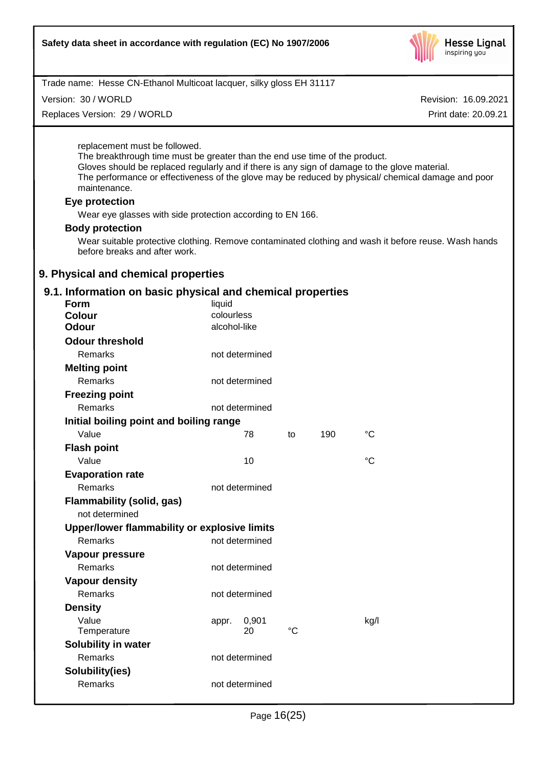

Version: 30 / WORLD

Replaces Version: 29 / WORLD

Revision: 16.09.2021

Print date: 20.09.21

replacement must be followed.

The breakthrough time must be greater than the end use time of the product. Gloves should be replaced regularly and if there is any sign of damage to the glove material. The performance or effectiveness of the glove may be reduced by physical/ chemical damage and poor maintenance.

## **Eye protection**

Wear eye glasses with side protection according to EN 166.

#### **Body protection**

Wear suitable protective clothing. Remove contaminated clothing and wash it before reuse. Wash hands before breaks and after work.

## **9. Physical and chemical properties**

## **9.1. Information on basic physical and chemical properties**

| Form                                         | liquid       |                |             |     |                 |
|----------------------------------------------|--------------|----------------|-------------|-----|-----------------|
| <b>Colour</b>                                | colourless   |                |             |     |                 |
| <b>Odour</b>                                 | alcohol-like |                |             |     |                 |
| <b>Odour threshold</b>                       |              |                |             |     |                 |
| Remarks                                      |              | not determined |             |     |                 |
| <b>Melting point</b>                         |              |                |             |     |                 |
| <b>Remarks</b>                               |              | not determined |             |     |                 |
| <b>Freezing point</b>                        |              |                |             |     |                 |
| <b>Remarks</b>                               |              | not determined |             |     |                 |
| Initial boiling point and boiling range      |              |                |             |     |                 |
| Value                                        |              | 78             | to          | 190 | °C              |
| <b>Flash point</b>                           |              |                |             |     |                 |
| Value                                        |              | 10             |             |     | $\rm ^{\circ}C$ |
| <b>Evaporation rate</b>                      |              |                |             |     |                 |
| Remarks                                      |              | not determined |             |     |                 |
| <b>Flammability (solid, gas)</b>             |              |                |             |     |                 |
| not determined                               |              |                |             |     |                 |
| Upper/lower flammability or explosive limits |              |                |             |     |                 |
| Remarks                                      |              | not determined |             |     |                 |
| Vapour pressure                              |              |                |             |     |                 |
| <b>Remarks</b>                               |              | not determined |             |     |                 |
| <b>Vapour density</b>                        |              |                |             |     |                 |
| <b>Remarks</b>                               |              | not determined |             |     |                 |
| <b>Density</b>                               |              |                |             |     |                 |
| Value                                        | appr.        | 0,901          |             |     | kg/l            |
| Temperature                                  |              | 20             | $^{\circ}C$ |     |                 |
| <b>Solubility in water</b>                   |              |                |             |     |                 |
| Remarks                                      |              | not determined |             |     |                 |
| Solubility(ies)                              |              |                |             |     |                 |
| <b>Remarks</b>                               |              | not determined |             |     |                 |
|                                              |              |                |             |     |                 |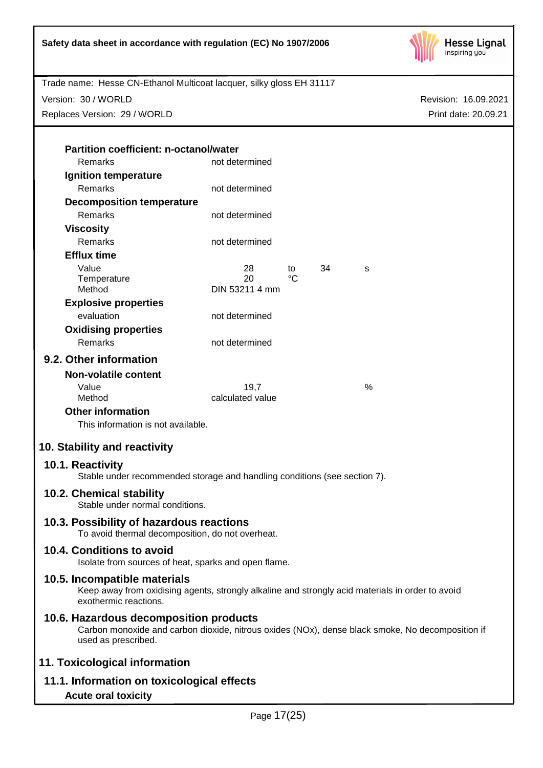

Version: 30 / WORLD

Replaces Version: 29 / WORLD

Revision: 16.09.2021 Print date: 20.09.21

| <b>Partition coefficient: n-octanol/water</b> |                |     |    |   |
|-----------------------------------------------|----------------|-----|----|---|
| Remarks                                       | not determined |     |    |   |
| Ignition temperature                          |                |     |    |   |
| Remarks                                       | not determined |     |    |   |
| <b>Decomposition temperature</b>              |                |     |    |   |
| Remarks                                       | not determined |     |    |   |
| Viscosity                                     |                |     |    |   |
| Remarks                                       | not determined |     |    |   |
| <b>Efflux time</b>                            |                |     |    |   |
| Value                                         | 28             | to  | 34 | S |
| Temperature                                   | 20             | °C. |    |   |
| Method                                        | DIN 53211 4 mm |     |    |   |
| <b>Explosive properties</b>                   |                |     |    |   |
| evaluation                                    | not determined |     |    |   |
| <b>Oxidising properties</b>                   |                |     |    |   |
| <b>Remarks</b>                                | not determined |     |    |   |
| 9.2. Other information                        |                |     |    |   |
| Non-volatile content                          |                |     |    |   |
|                                               |                |     |    |   |

| calculated value |   |
|------------------|---|
| 19.7             | % |
|                  |   |

**Other information**

This information is not available.

# **10. Stability and reactivity**

## **10.1. Reactivity**

Stable under recommended storage and handling conditions (see section 7).

## **10.2. Chemical stability**

Stable under normal conditions.

# **10.3. Possibility of hazardous reactions**

To avoid thermal decomposition, do not overheat.

# **10.4. Conditions to avoid**

Isolate from sources of heat, sparks and open flame.

## **10.5. Incompatible materials**

Keep away from oxidising agents, strongly alkaline and strongly acid materials in order to avoid exothermic reactions.

# **10.6. Hazardous decomposition products**

Carbon monoxide and carbon dioxide, nitrous oxides (NOx), dense black smoke, No decomposition if used as prescribed.

# **11. Toxicological information**

**11.1. Information on toxicological effects**

## **Acute oral toxicity**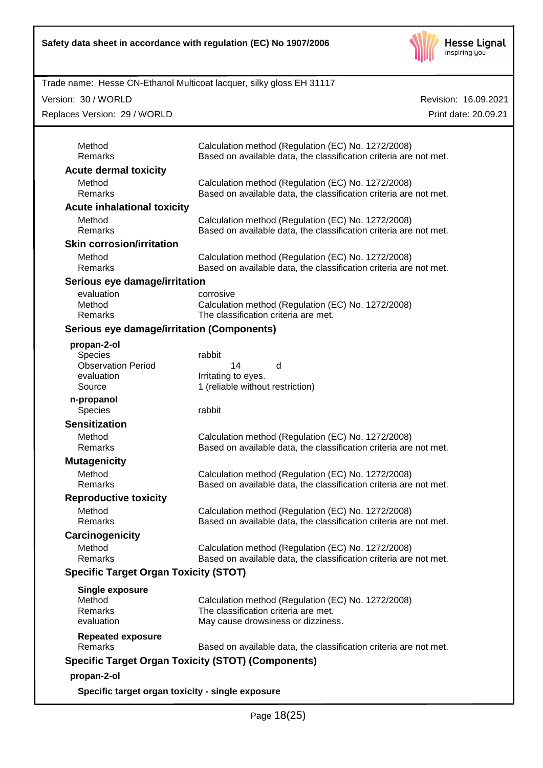

Version: 30 / WORLD

Replaces Version: 29 / WORLD

| Method<br>Remarks                            | Calculation method (Regulation (EC) No. 1272/2008)<br>Based on available data, the classification criteria are not met. |
|----------------------------------------------|-------------------------------------------------------------------------------------------------------------------------|
| <b>Acute dermal toxicity</b>                 |                                                                                                                         |
| Method                                       | Calculation method (Regulation (EC) No. 1272/2008)                                                                      |
| Remarks                                      | Based on available data, the classification criteria are not met.                                                       |
| <b>Acute inhalational toxicity</b>           |                                                                                                                         |
| Method                                       | Calculation method (Regulation (EC) No. 1272/2008)                                                                      |
| Remarks                                      | Based on available data, the classification criteria are not met.                                                       |
| <b>Skin corrosion/irritation</b>             |                                                                                                                         |
| Method                                       | Calculation method (Regulation (EC) No. 1272/2008)                                                                      |
| Remarks                                      | Based on available data, the classification criteria are not met.                                                       |
| Serious eye damage/irritation                |                                                                                                                         |
| evaluation                                   | corrosive                                                                                                               |
| Method                                       | Calculation method (Regulation (EC) No. 1272/2008)                                                                      |
| Remarks                                      | The classification criteria are met.                                                                                    |
| Serious eye damage/irritation (Components)   |                                                                                                                         |
| propan-2-ol                                  |                                                                                                                         |
| Species                                      | rabbit                                                                                                                  |
| <b>Observation Period</b>                    | 14<br>d                                                                                                                 |
| evaluation                                   | Irritating to eyes.                                                                                                     |
| Source                                       | 1 (reliable without restriction)                                                                                        |
| n-propanol                                   |                                                                                                                         |
| Species                                      | rabbit                                                                                                                  |
| <b>Sensitization</b>                         |                                                                                                                         |
| Method<br>Remarks                            | Calculation method (Regulation (EC) No. 1272/2008)<br>Based on available data, the classification criteria are not met. |
|                                              |                                                                                                                         |
| <b>Mutagenicity</b>                          |                                                                                                                         |
| Method<br>Remarks                            | Calculation method (Regulation (EC) No. 1272/2008)<br>Based on available data, the classification criteria are not met. |
|                                              |                                                                                                                         |
| <b>Reproductive toxicity</b>                 |                                                                                                                         |
| Method                                       | Calculation method (Regulation (EC) No. 1272/2008)                                                                      |
| Remarks                                      | Based on available data, the classification criteria are not met.                                                       |
| Carcinogenicity                              |                                                                                                                         |
| Method                                       | Calculation method (Regulation (EC) No. 1272/2008)                                                                      |
| Remarks                                      | Based on available data, the classification criteria are not met.                                                       |
| <b>Specific Target Organ Toxicity (STOT)</b> |                                                                                                                         |
| <b>Single exposure</b>                       |                                                                                                                         |
| Method                                       | Calculation method (Regulation (EC) No. 1272/2008)                                                                      |
| Remarks                                      | The classification criteria are met.                                                                                    |
| evaluation                                   | May cause drowsiness or dizziness.                                                                                      |
| <b>Repeated exposure</b>                     |                                                                                                                         |
| Remarks                                      | Based on available data, the classification criteria are not met.                                                       |
|                                              | <b>Specific Target Organ Toxicity (STOT) (Components)</b>                                                               |
| propan-2-ol                                  |                                                                                                                         |
|                                              |                                                                                                                         |
|                                              | Specific target organ toxicity - single exposure                                                                        |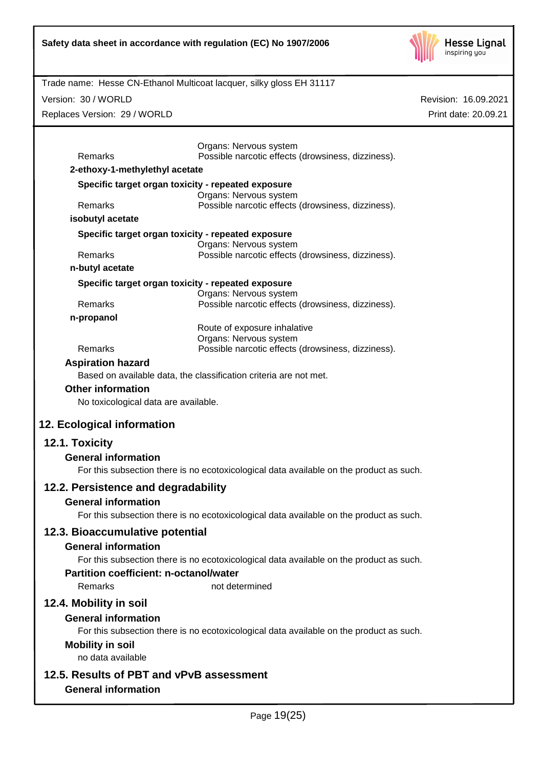

|                                                          | Trade name: Hesse CN-Ethanol Multicoat lacquer, silky gloss EH 31117                    |                      |
|----------------------------------------------------------|-----------------------------------------------------------------------------------------|----------------------|
| Version: 30 / WORLD                                      |                                                                                         | Revision: 16.09.2021 |
| Replaces Version: 29 / WORLD                             |                                                                                         | Print date: 20.09.21 |
|                                                          |                                                                                         |                      |
|                                                          | Organs: Nervous system                                                                  |                      |
| Remarks                                                  | Possible narcotic effects (drowsiness, dizziness).                                      |                      |
| 2-ethoxy-1-methylethyl acetate                           |                                                                                         |                      |
| Specific target organ toxicity - repeated exposure       | Organs: Nervous system                                                                  |                      |
| Remarks                                                  | Possible narcotic effects (drowsiness, dizziness).                                      |                      |
| isobutyl acetate                                         |                                                                                         |                      |
| Specific target organ toxicity - repeated exposure       |                                                                                         |                      |
| Remarks                                                  | Organs: Nervous system<br>Possible narcotic effects (drowsiness, dizziness).            |                      |
| n-butyl acetate                                          |                                                                                         |                      |
| Specific target organ toxicity - repeated exposure       |                                                                                         |                      |
|                                                          | Organs: Nervous system                                                                  |                      |
| Remarks                                                  | Possible narcotic effects (drowsiness, dizziness).                                      |                      |
| n-propanol                                               | Route of exposure inhalative                                                            |                      |
|                                                          | Organs: Nervous system                                                                  |                      |
| Remarks                                                  | Possible narcotic effects (drowsiness, dizziness).                                      |                      |
| <b>Aspiration hazard</b>                                 | Based on available data, the classification criteria are not met.                       |                      |
| <b>Other information</b>                                 |                                                                                         |                      |
| No toxicological data are available.                     |                                                                                         |                      |
|                                                          |                                                                                         |                      |
| 12. Ecological information                               |                                                                                         |                      |
| 12.1. Toxicity                                           |                                                                                         |                      |
| <b>General information</b>                               |                                                                                         |                      |
|                                                          | For this subsection there is no ecotoxicological data available on the product as such. |                      |
| 12.2. Persistence and degradability                      |                                                                                         |                      |
| <b>General information</b>                               |                                                                                         |                      |
|                                                          | For this subsection there is no ecotoxicological data available on the product as such. |                      |
| 12.3. Bioaccumulative potential                          |                                                                                         |                      |
| <b>General information</b>                               |                                                                                         |                      |
|                                                          | For this subsection there is no ecotoxicological data available on the product as such. |                      |
| <b>Partition coefficient: n-octanol/water</b><br>Remarks | not determined                                                                          |                      |
|                                                          |                                                                                         |                      |
| 12.4. Mobility in soil                                   |                                                                                         |                      |
| <b>General information</b>                               | For this subsection there is no ecotoxicological data available on the product as such. |                      |
| <b>Mobility in soil</b>                                  |                                                                                         |                      |
| no data available                                        |                                                                                         |                      |
| 12.5. Results of PBT and vPvB assessment                 |                                                                                         |                      |
| <b>General information</b>                               |                                                                                         |                      |
|                                                          |                                                                                         |                      |
|                                                          | Page 19(25)                                                                             |                      |
|                                                          |                                                                                         |                      |
|                                                          |                                                                                         |                      |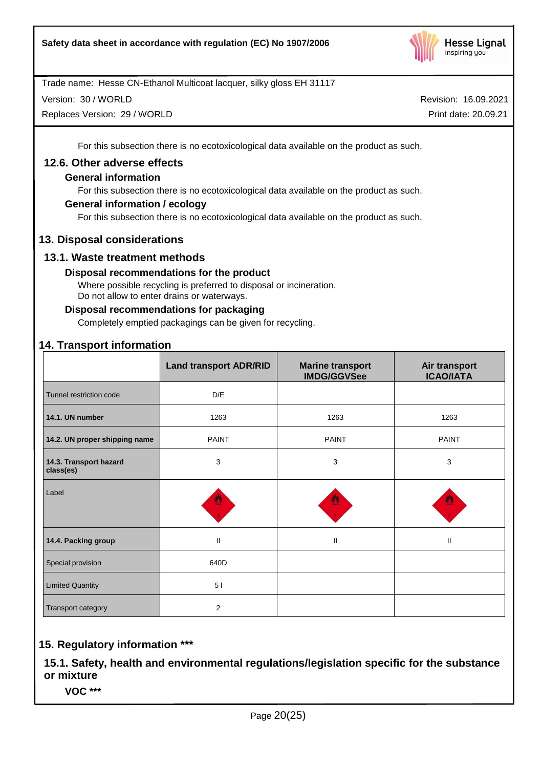

Version: 30 / WORLD

Replaces Version: 29 / WORLD

Revision: 16.09.2021 Print date: 20.09.21

For this subsection there is no ecotoxicological data available on the product as such.

## **12.6. Other adverse effects**

## **General information**

For this subsection there is no ecotoxicological data available on the product as such.

## **General information / ecology**

For this subsection there is no ecotoxicological data available on the product as such.

## **13. Disposal considerations**

## **13.1. Waste treatment methods**

## **Disposal recommendations for the product**

Where possible recycling is preferred to disposal or incineration. Do not allow to enter drains or waterways.

## **Disposal recommendations for packaging**

Completely emptied packagings can be given for recycling.

# **14. Transport information**

|                                     | <b>Land transport ADR/RID</b> | <b>Marine transport</b><br><b>IMDG/GGVSee</b> | Air transport<br><b>ICAO/IATA</b> |
|-------------------------------------|-------------------------------|-----------------------------------------------|-----------------------------------|
| Tunnel restriction code             | D/E                           |                                               |                                   |
| 14.1. UN number                     | 1263                          | 1263                                          | 1263                              |
| 14.2. UN proper shipping name       | <b>PAINT</b>                  | <b>PAINT</b>                                  | <b>PAINT</b>                      |
| 14.3. Transport hazard<br>class(es) | 3                             | $\mathbf{3}$                                  | 3                                 |
| Label                               | 뿰                             |                                               | 暨                                 |
| 14.4. Packing group                 | $\mathbf{I}$                  | $\mathbf{H}$                                  | $\mathbf{II}$                     |
| Special provision                   | 640D                          |                                               |                                   |
| <b>Limited Quantity</b>             | 51                            |                                               |                                   |
| Transport category                  | 2                             |                                               |                                   |

# **15. Regulatory information \*\*\***

**15.1. Safety, health and environmental regulations/legislation specific for the substance or mixture**

**VOC \*\*\***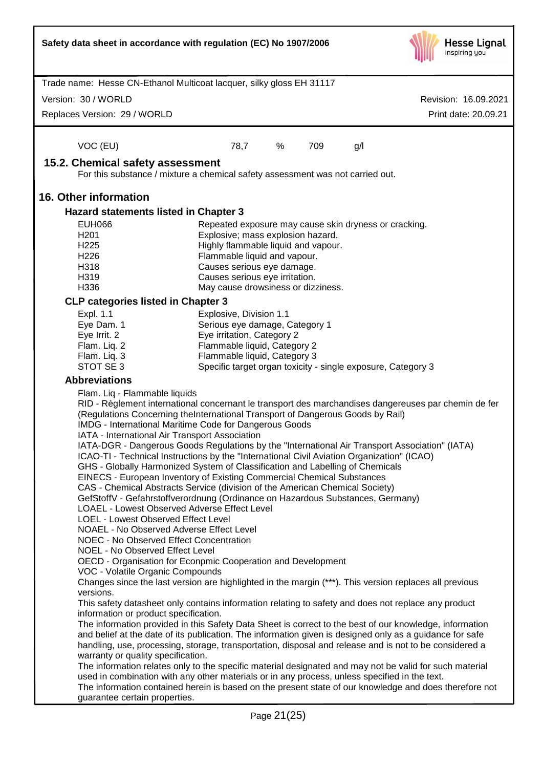| Trade name: Hesse CN-Ethanol Multicoat lacquer, silky gloss EH 31117<br>Version: 30 / WORLD<br>Revision: 16.09.2021<br>Replaces Version: 29 / WORLD<br>Print date: 20.09.21<br>VOC (EU)<br>78,7<br>%<br>709<br>g/l<br>15.2. Chemical safety assessment<br>For this substance / mixture a chemical safety assessment was not carried out.<br><b>16. Other information</b><br>Hazard statements listed in Chapter 3<br><b>EUH066</b><br>Repeated exposure may cause skin dryness or cracking.<br>H <sub>201</sub><br>Explosive; mass explosion hazard.<br>H <sub>225</sub><br>Highly flammable liquid and vapour.<br>H <sub>226</sub><br>Flammable liquid and vapour.<br>H318<br>Causes serious eye damage.<br>H319<br>Causes serious eye irritation.<br>H336<br>May cause drowsiness or dizziness.<br><b>CLP categories listed in Chapter 3</b><br>Expl. 1.1<br>Explosive, Division 1.1<br>Eye Dam. 1<br>Serious eye damage, Category 1<br>Eye Irrit. 2<br>Eye irritation, Category 2<br>Flam. Liq. 2<br>Flammable liquid, Category 2<br>Flam. Liq. 3<br>Flammable liquid, Category 3<br>STOT SE 3<br>Specific target organ toxicity - single exposure, Category 3<br><b>Abbreviations</b><br>Flam. Liq - Flammable liquids<br>RID - Règlement international concernant le transport des marchandises dangereuses par chemin de fer<br>(Regulations Concerning theInternational Transport of Dangerous Goods by Rail)<br>IMDG - International Maritime Code for Dangerous Goods<br>IATA - International Air Transport Association<br>IATA-DGR - Dangerous Goods Regulations by the "International Air Transport Association" (IATA)<br>ICAO-TI - Technical Instructions by the "International Civil Aviation Organization" (ICAO)<br>GHS - Globally Harmonized System of Classification and Labelling of Chemicals<br>EINECS - European Inventory of Existing Commercial Chemical Substances<br>CAS - Chemical Abstracts Service (division of the American Chemical Society)<br>GefStoffV - Gefahrstoffverordnung (Ordinance on Hazardous Substances, Germany)<br>LOAEL - Lowest Observed Adverse Effect Level<br>LOEL - Lowest Observed Effect Level<br>NOAEL - No Observed Adverse Effect Level<br>NOEC - No Observed Effect Concentration<br>NOEL - No Observed Effect Level<br>OECD - Organisation for Econpmic Cooperation and Development<br>VOC - Volatile Organic Compounds<br>Changes since the last version are highlighted in the margin (***). This version replaces all previous<br>versions.<br>This safety datasheet only contains information relating to safety and does not replace any product<br>information or product specification.<br>The information provided in this Safety Data Sheet is correct to the best of our knowledge, information | Safety data sheet in accordance with regulation (EC) No 1907/2006 |  |  | <b>Hesse Lignal</b><br>inspiring you |
|----------------------------------------------------------------------------------------------------------------------------------------------------------------------------------------------------------------------------------------------------------------------------------------------------------------------------------------------------------------------------------------------------------------------------------------------------------------------------------------------------------------------------------------------------------------------------------------------------------------------------------------------------------------------------------------------------------------------------------------------------------------------------------------------------------------------------------------------------------------------------------------------------------------------------------------------------------------------------------------------------------------------------------------------------------------------------------------------------------------------------------------------------------------------------------------------------------------------------------------------------------------------------------------------------------------------------------------------------------------------------------------------------------------------------------------------------------------------------------------------------------------------------------------------------------------------------------------------------------------------------------------------------------------------------------------------------------------------------------------------------------------------------------------------------------------------------------------------------------------------------------------------------------------------------------------------------------------------------------------------------------------------------------------------------------------------------------------------------------------------------------------------------------------------------------------------------------------------------------------------------------------------------------------------------------------------------------------------------------------------------------------------------------------------------------------------------------------------------------------------------------------------------------------------------------------------------------------------------------------------------------------------------------------------------------------------------------------------------------------------------------------------|-------------------------------------------------------------------|--|--|--------------------------------------|
|                                                                                                                                                                                                                                                                                                                                                                                                                                                                                                                                                                                                                                                                                                                                                                                                                                                                                                                                                                                                                                                                                                                                                                                                                                                                                                                                                                                                                                                                                                                                                                                                                                                                                                                                                                                                                                                                                                                                                                                                                                                                                                                                                                                                                                                                                                                                                                                                                                                                                                                                                                                                                                                                                                                                                                      |                                                                   |  |  |                                      |
|                                                                                                                                                                                                                                                                                                                                                                                                                                                                                                                                                                                                                                                                                                                                                                                                                                                                                                                                                                                                                                                                                                                                                                                                                                                                                                                                                                                                                                                                                                                                                                                                                                                                                                                                                                                                                                                                                                                                                                                                                                                                                                                                                                                                                                                                                                                                                                                                                                                                                                                                                                                                                                                                                                                                                                      |                                                                   |  |  |                                      |
|                                                                                                                                                                                                                                                                                                                                                                                                                                                                                                                                                                                                                                                                                                                                                                                                                                                                                                                                                                                                                                                                                                                                                                                                                                                                                                                                                                                                                                                                                                                                                                                                                                                                                                                                                                                                                                                                                                                                                                                                                                                                                                                                                                                                                                                                                                                                                                                                                                                                                                                                                                                                                                                                                                                                                                      |                                                                   |  |  |                                      |
|                                                                                                                                                                                                                                                                                                                                                                                                                                                                                                                                                                                                                                                                                                                                                                                                                                                                                                                                                                                                                                                                                                                                                                                                                                                                                                                                                                                                                                                                                                                                                                                                                                                                                                                                                                                                                                                                                                                                                                                                                                                                                                                                                                                                                                                                                                                                                                                                                                                                                                                                                                                                                                                                                                                                                                      |                                                                   |  |  |                                      |
|                                                                                                                                                                                                                                                                                                                                                                                                                                                                                                                                                                                                                                                                                                                                                                                                                                                                                                                                                                                                                                                                                                                                                                                                                                                                                                                                                                                                                                                                                                                                                                                                                                                                                                                                                                                                                                                                                                                                                                                                                                                                                                                                                                                                                                                                                                                                                                                                                                                                                                                                                                                                                                                                                                                                                                      |                                                                   |  |  |                                      |
|                                                                                                                                                                                                                                                                                                                                                                                                                                                                                                                                                                                                                                                                                                                                                                                                                                                                                                                                                                                                                                                                                                                                                                                                                                                                                                                                                                                                                                                                                                                                                                                                                                                                                                                                                                                                                                                                                                                                                                                                                                                                                                                                                                                                                                                                                                                                                                                                                                                                                                                                                                                                                                                                                                                                                                      |                                                                   |  |  |                                      |
|                                                                                                                                                                                                                                                                                                                                                                                                                                                                                                                                                                                                                                                                                                                                                                                                                                                                                                                                                                                                                                                                                                                                                                                                                                                                                                                                                                                                                                                                                                                                                                                                                                                                                                                                                                                                                                                                                                                                                                                                                                                                                                                                                                                                                                                                                                                                                                                                                                                                                                                                                                                                                                                                                                                                                                      |                                                                   |  |  |                                      |
|                                                                                                                                                                                                                                                                                                                                                                                                                                                                                                                                                                                                                                                                                                                                                                                                                                                                                                                                                                                                                                                                                                                                                                                                                                                                                                                                                                                                                                                                                                                                                                                                                                                                                                                                                                                                                                                                                                                                                                                                                                                                                                                                                                                                                                                                                                                                                                                                                                                                                                                                                                                                                                                                                                                                                                      |                                                                   |  |  |                                      |
|                                                                                                                                                                                                                                                                                                                                                                                                                                                                                                                                                                                                                                                                                                                                                                                                                                                                                                                                                                                                                                                                                                                                                                                                                                                                                                                                                                                                                                                                                                                                                                                                                                                                                                                                                                                                                                                                                                                                                                                                                                                                                                                                                                                                                                                                                                                                                                                                                                                                                                                                                                                                                                                                                                                                                                      |                                                                   |  |  |                                      |
|                                                                                                                                                                                                                                                                                                                                                                                                                                                                                                                                                                                                                                                                                                                                                                                                                                                                                                                                                                                                                                                                                                                                                                                                                                                                                                                                                                                                                                                                                                                                                                                                                                                                                                                                                                                                                                                                                                                                                                                                                                                                                                                                                                                                                                                                                                                                                                                                                                                                                                                                                                                                                                                                                                                                                                      |                                                                   |  |  |                                      |
|                                                                                                                                                                                                                                                                                                                                                                                                                                                                                                                                                                                                                                                                                                                                                                                                                                                                                                                                                                                                                                                                                                                                                                                                                                                                                                                                                                                                                                                                                                                                                                                                                                                                                                                                                                                                                                                                                                                                                                                                                                                                                                                                                                                                                                                                                                                                                                                                                                                                                                                                                                                                                                                                                                                                                                      |                                                                   |  |  |                                      |
|                                                                                                                                                                                                                                                                                                                                                                                                                                                                                                                                                                                                                                                                                                                                                                                                                                                                                                                                                                                                                                                                                                                                                                                                                                                                                                                                                                                                                                                                                                                                                                                                                                                                                                                                                                                                                                                                                                                                                                                                                                                                                                                                                                                                                                                                                                                                                                                                                                                                                                                                                                                                                                                                                                                                                                      |                                                                   |  |  |                                      |
|                                                                                                                                                                                                                                                                                                                                                                                                                                                                                                                                                                                                                                                                                                                                                                                                                                                                                                                                                                                                                                                                                                                                                                                                                                                                                                                                                                                                                                                                                                                                                                                                                                                                                                                                                                                                                                                                                                                                                                                                                                                                                                                                                                                                                                                                                                                                                                                                                                                                                                                                                                                                                                                                                                                                                                      |                                                                   |  |  |                                      |
|                                                                                                                                                                                                                                                                                                                                                                                                                                                                                                                                                                                                                                                                                                                                                                                                                                                                                                                                                                                                                                                                                                                                                                                                                                                                                                                                                                                                                                                                                                                                                                                                                                                                                                                                                                                                                                                                                                                                                                                                                                                                                                                                                                                                                                                                                                                                                                                                                                                                                                                                                                                                                                                                                                                                                                      |                                                                   |  |  |                                      |
|                                                                                                                                                                                                                                                                                                                                                                                                                                                                                                                                                                                                                                                                                                                                                                                                                                                                                                                                                                                                                                                                                                                                                                                                                                                                                                                                                                                                                                                                                                                                                                                                                                                                                                                                                                                                                                                                                                                                                                                                                                                                                                                                                                                                                                                                                                                                                                                                                                                                                                                                                                                                                                                                                                                                                                      |                                                                   |  |  |                                      |
|                                                                                                                                                                                                                                                                                                                                                                                                                                                                                                                                                                                                                                                                                                                                                                                                                                                                                                                                                                                                                                                                                                                                                                                                                                                                                                                                                                                                                                                                                                                                                                                                                                                                                                                                                                                                                                                                                                                                                                                                                                                                                                                                                                                                                                                                                                                                                                                                                                                                                                                                                                                                                                                                                                                                                                      |                                                                   |  |  |                                      |
|                                                                                                                                                                                                                                                                                                                                                                                                                                                                                                                                                                                                                                                                                                                                                                                                                                                                                                                                                                                                                                                                                                                                                                                                                                                                                                                                                                                                                                                                                                                                                                                                                                                                                                                                                                                                                                                                                                                                                                                                                                                                                                                                                                                                                                                                                                                                                                                                                                                                                                                                                                                                                                                                                                                                                                      |                                                                   |  |  |                                      |
|                                                                                                                                                                                                                                                                                                                                                                                                                                                                                                                                                                                                                                                                                                                                                                                                                                                                                                                                                                                                                                                                                                                                                                                                                                                                                                                                                                                                                                                                                                                                                                                                                                                                                                                                                                                                                                                                                                                                                                                                                                                                                                                                                                                                                                                                                                                                                                                                                                                                                                                                                                                                                                                                                                                                                                      |                                                                   |  |  |                                      |
|                                                                                                                                                                                                                                                                                                                                                                                                                                                                                                                                                                                                                                                                                                                                                                                                                                                                                                                                                                                                                                                                                                                                                                                                                                                                                                                                                                                                                                                                                                                                                                                                                                                                                                                                                                                                                                                                                                                                                                                                                                                                                                                                                                                                                                                                                                                                                                                                                                                                                                                                                                                                                                                                                                                                                                      |                                                                   |  |  |                                      |
|                                                                                                                                                                                                                                                                                                                                                                                                                                                                                                                                                                                                                                                                                                                                                                                                                                                                                                                                                                                                                                                                                                                                                                                                                                                                                                                                                                                                                                                                                                                                                                                                                                                                                                                                                                                                                                                                                                                                                                                                                                                                                                                                                                                                                                                                                                                                                                                                                                                                                                                                                                                                                                                                                                                                                                      |                                                                   |  |  |                                      |
| and belief at the date of its publication. The information given is designed only as a guidance for safe<br>handling, use, processing, storage, transportation, disposal and release and is not to be considered a<br>warranty or quality specification.                                                                                                                                                                                                                                                                                                                                                                                                                                                                                                                                                                                                                                                                                                                                                                                                                                                                                                                                                                                                                                                                                                                                                                                                                                                                                                                                                                                                                                                                                                                                                                                                                                                                                                                                                                                                                                                                                                                                                                                                                                                                                                                                                                                                                                                                                                                                                                                                                                                                                                             |                                                                   |  |  |                                      |
| The information relates only to the specific material designated and may not be valid for such material<br>used in combination with any other materials or in any process, unless specified in the text.<br>The information contained herein is based on the present state of our knowledge and does therefore not                                                                                                                                                                                                                                                                                                                                                                                                                                                                                                                                                                                                                                                                                                                                                                                                                                                                                                                                                                                                                                                                                                                                                                                                                                                                                                                                                                                                                                                                                                                                                                                                                                                                                                                                                                                                                                                                                                                                                                                                                                                                                                                                                                                                                                                                                                                                                                                                                                                   |                                                                   |  |  |                                      |
| guarantee certain properties.<br>Page 21(25)                                                                                                                                                                                                                                                                                                                                                                                                                                                                                                                                                                                                                                                                                                                                                                                                                                                                                                                                                                                                                                                                                                                                                                                                                                                                                                                                                                                                                                                                                                                                                                                                                                                                                                                                                                                                                                                                                                                                                                                                                                                                                                                                                                                                                                                                                                                                                                                                                                                                                                                                                                                                                                                                                                                         |                                                                   |  |  |                                      |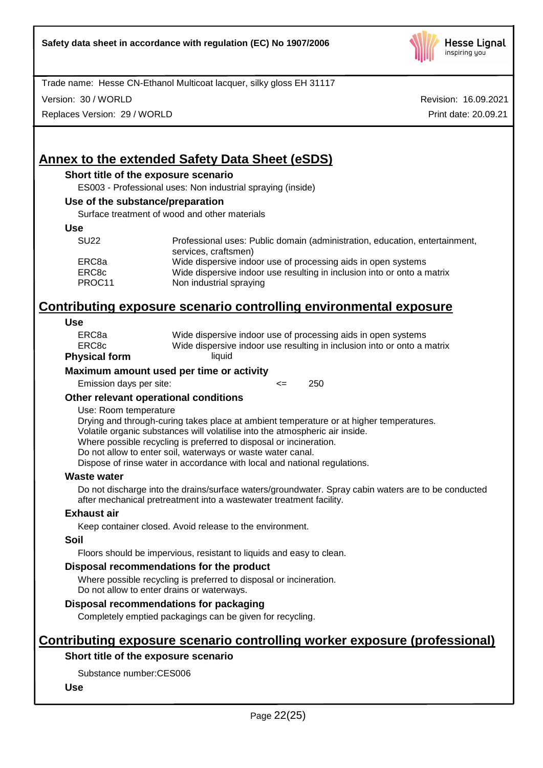

Version: 30 / WORLD

Replaces Version: 29 / WORLD

Revision: 16.09.2021 Print date: 20.09.21

# **Annex to the extended Safety Data Sheet (eSDS)**

#### **Short title of the exposure scenario**

ES003 - Professional uses: Non industrial spraying (inside)

#### **Use of the substance/preparation**

Surface treatment of wood and other materials

#### **Use**

| <b>SU22</b> | Professional uses: Public domain (administration, education, entertainment,<br>services, craftsmen) |
|-------------|-----------------------------------------------------------------------------------------------------|
| ERC8a       | Wide dispersive indoor use of processing aids in open systems                                       |
| ERC8c       | Wide dispersive indoor use resulting in inclusion into or onto a matrix                             |
| PROC11      | Non industrial spraying                                                                             |

# **Contributing exposure scenario controlling environmental exposure**

#### **Use**

| Wide dispersive indoor use resulting in inclusion into or onto a matrix |
|-------------------------------------------------------------------------|
| Wide dispersive indoor use of processing aids in open systems           |
|                                                                         |

## **Physical form**

#### **Maximum amount used per time or activity**

Emission days per site:  $\leq$  250

#### **Other relevant operational conditions**

#### Use: Room temperature

Drying and through-curing takes place at ambient temperature or at higher temperatures. Volatile organic substances will volatilise into the atmospheric air inside.

Where possible recycling is preferred to disposal or incineration.

Do not allow to enter soil, waterways or waste water canal.

Dispose of rinse water in accordance with local and national regulations.

#### **Waste water**

Do not discharge into the drains/surface waters/groundwater. Spray cabin waters are to be conducted after mechanical pretreatment into a wastewater treatment facility.

#### **Exhaust air**

Keep container closed. Avoid release to the environment.

#### **Soil**

Floors should be impervious, resistant to liquids and easy to clean.

#### **Disposal recommendations for the product**

Where possible recycling is preferred to disposal or incineration. Do not allow to enter drains or waterways.

# **Disposal recommendations for packaging**

Completely emptied packagings can be given for recycling.

# **Contributing exposure scenario controlling worker exposure (professional)**

## **Short title of the exposure scenario**

Substance number:CES006

## **Use**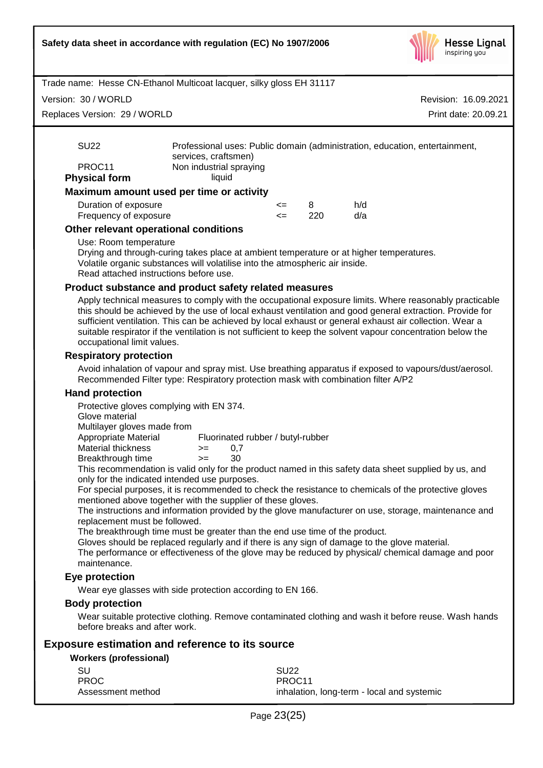

Version: 30 / WORLD

Replaces Version: 29 / WORLD

Revision: 16.09.2021 Print date: 20.09.21

| <b>SU22</b>          | Professional uses: Public domain (administration, education, entertainment,<br>services, craftsmen) |  |
|----------------------|-----------------------------------------------------------------------------------------------------|--|
| PROC <sub>11</sub>   | Non industrial spraying                                                                             |  |
| <b>Physical form</b> | liauid                                                                                              |  |
|                      | Maximum amount used per time or activity                                                            |  |
|                      |                                                                                                     |  |

| Duration of exposure  | <= |     | h/d |
|-----------------------|----|-----|-----|
| Frequency of exposure |    | 220 | d/a |

## **Other relevant operational conditions**

#### Use: Room temperature

Drying and through-curing takes place at ambient temperature or at higher temperatures. Volatile organic substances will volatilise into the atmospheric air inside. Read attached instructions before use.

#### **Product substance and product safety related measures**

Apply technical measures to comply with the occupational exposure limits. Where reasonably practicable this should be achieved by the use of local exhaust ventilation and good general extraction. Provide for sufficient ventilation. This can be achieved by local exhaust or general exhaust air collection. Wear a suitable respirator if the ventilation is not sufficient to keep the solvent vapour concentration below the occupational limit values.

#### **Respiratory protection**

Avoid inhalation of vapour and spray mist. Use breathing apparatus if exposed to vapours/dust/aerosol. Recommended Filter type: Respiratory protection mask with combination filter A/P2

#### **Hand protection**

Protective gloves complying with EN 374.

Glove material

Multilayer gloves made from

Appropriate Material Fluorinated rubber / butyl-rubber Material thickness  $> = 0.7$ Breakthrough time >= 30

This recommendation is valid only for the product named in this safety data sheet supplied by us, and only for the indicated intended use purposes.

For special purposes, it is recommended to check the resistance to chemicals of the protective gloves mentioned above together with the supplier of these gloves.

The instructions and information provided by the glove manufacturer on use, storage, maintenance and replacement must be followed.

The breakthrough time must be greater than the end use time of the product.

Gloves should be replaced regularly and if there is any sign of damage to the glove material.

The performance or effectiveness of the glove may be reduced by physical/ chemical damage and poor maintenance.

## **Eye protection**

Wear eye glasses with side protection according to EN 166.

## **Body protection**

Wear suitable protective clothing. Remove contaminated clothing and wash it before reuse. Wash hands before breaks and after work.

## **Exposure estimation and reference to its source**

#### **Workers (professional)**

| -SU               | <b>SU22</b>                                |
|-------------------|--------------------------------------------|
| <b>PROC</b>       | PROC <sub>11</sub>                         |
| Assessment method | inhalation, long-term - local and systemic |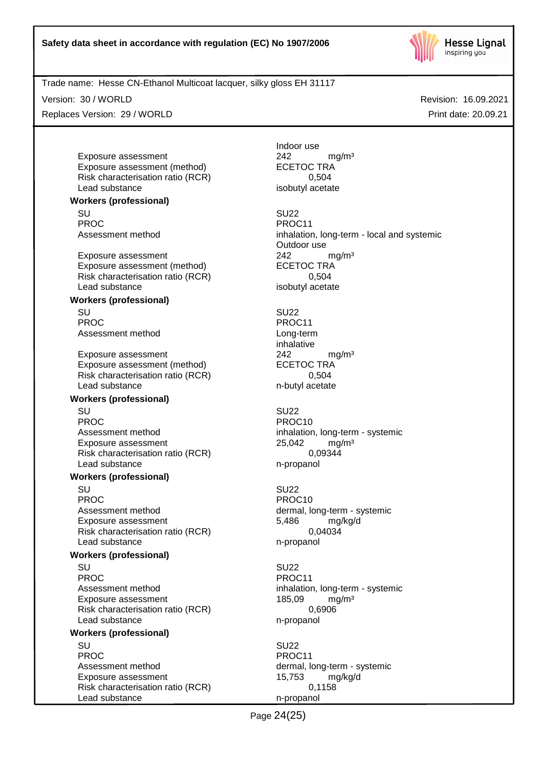

Version: 30 / WORLD

Replaces Version: 29 / WORLD

Revision: 16.09.2021 Print date: 20.09.21

Exposure assessment <br>
Exposure assessment (method) 
<br>
ECETOC TRA Exposure assessment (method) Risk characterisation ratio (RCR) 0,504 Lead substance isobutyl acetate

**Workers (professional)**

SU SU22 PROC PROC11<br>Assessment method example and proportional proportional proportional proportional proportional proportional pr<br>Assessment method by the proportional proportional proportional proportional proportional proportio

Exposure assessment <br>
Exposure assessment (method) 
<br>
EXPOSURE ASSESSMENT CONTRA Exposure assessment (method) Risk characterisation ratio (RCR) 0,504 Lead substance isobutyl acetate

#### **Workers (professional)**

SU SU22 PROC PROCTER PROCTER PROCTER PROCTER PROCTER PROCTER PROCTER PROCTER PROCTER PROCTER PROCTER PROCTER PROCTER PROCTER PROCTER PROCTER PROCTER PROCTER PROCTER PROCTER PROCTER PROCTER PROCTER PROCTER PROCTER PROCTER PROCTER P Assessment method Long-term

Exposure assessment <br>
Exposure assessment (method) 
<br>
ECETOC TRA Exposure assessment (method) Risk characterisation ratio (RCR) 0,504 Lead substance n-butyl acetate

#### **Workers (professional)**

SU SU22 PROC PROCTER PROCTER PROCTER PROCTER PROCTER PROCTER PROCTER PROCTER PROCTER PROCTER PROCTER PROCTER PROCTER PROCTER PROCTER PROCTER PROCTER PROCTER PROCTER PROCTER PROCTER PROCTER PROCTER PROCTER PROCTER PROCTER PROCTER P Assessment method inhalation, long-term - systemic Exposure assessment 25,042 mg/m<sup>3</sup><br>Risk characterisation ratio (RCR) 6.09344 Risk characterisation ratio (RCR) Lead substance n-propanol

#### **Workers (professional)**

SU SU22 PROC PROC10 Assessment method dermal, long-term - systemic Exposure assessment 6,486 mg/kg/d Risk characterisation ratio (RCR) 0,04034 Lead substance n-propanol

#### **Workers (professional)**

SU SU22 PROC PROCTER PROC11 Assessment method inhalation, long-term - systemic Exposure assessment 185,09 mg/m<sup>3</sup> Risk characterisation ratio (RCR) 0,6906 Lead substance n-propanol

## **Workers (professional)**

SU SU22 PROC PROCTER PROCTER PROCTER PROCTER PROCTER PROCTER PROCTER PROCTER PROCTER PROCTER PROCTER PROCTER PROCTER PROCTER PROCTER PROCTER PROCTER PROCTER PROCTER PROCTER PROCTER PROCTER PROCTER PROCTER PROCTER PROCTER PROCTER P Assessment method dermal, long-term - systemic Exposure assessment 15,753 mg/kg/d Risk characterisation ratio (RCR) 0,1158 Lead substance n-propanol

Indoor use

inhalation, long-term - local and systemic Outdoor use

inhalative

Page 24(25)